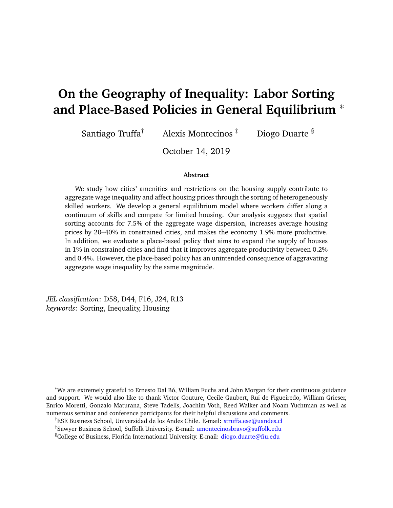# **On the Geography of Inequality: Labor Sorting and Place-Based Policies in General Equilibrium** <sup>∗</sup>

Santiago Truffa<sup>†</sup> Alexis Montecinos  $\frac{1}{x}$  Diogo Duarte  $\frac{8}{x}$ 

October 14, 2019

#### **Abstract**

We study how cities' amenities and restrictions on the housing supply contribute to aggregate wage inequality and affect housing prices through the sorting of heterogeneously skilled workers. We develop a general equilibrium model where workers differ along a continuum of skills and compete for limited housing. Our analysis suggests that spatial sorting accounts for 7.5% of the aggregate wage dispersion, increases average housing prices by 20–40% in constrained cities, and makes the economy 1.9% more productive. In addition, we evaluate a place-based policy that aims to expand the supply of houses in 1% in constrained cities and find that it improves aggregate productivity between 0.2% and 0.4%. However, the place-based policy has an unintended consequence of aggravating aggregate wage inequality by the same magnitude.

*JEL classification*: D58, D44, F16, J24, R13 *keywords*: Sorting, Inequality, Housing

<sup>∗</sup>We are extremely grateful to Ernesto Dal Bó, William Fuchs and John Morgan for their continuous guidance and support. We would also like to thank Victor Couture, Cecile Gaubert, Rui de Figueiredo, William Grieser, Enrico Moretti, Gonzalo Maturana, Steve Tadelis, Joachim Voth, Reed Walker and Noam Yuchtman as well as numerous seminar and conference participants for their helpful discussions and comments.

<sup>†</sup>ESE Business School, Universidad de los Andes Chile. E-mail: [struffa.ese@uandes.cl](mailto: struffa.ese@uandes.cl)

<sup>‡</sup>Sawyer Business School, Suffolk University. E-mail: [amontecinosbravo@suffolk.edu](mailto: amontecinosbravo@suffolk.edu)

<sup>§</sup>College of Business, Florida International University. E-mail: [diogo.duarte@fiu.edu](mailto: diogo.duarte@fiu.edu)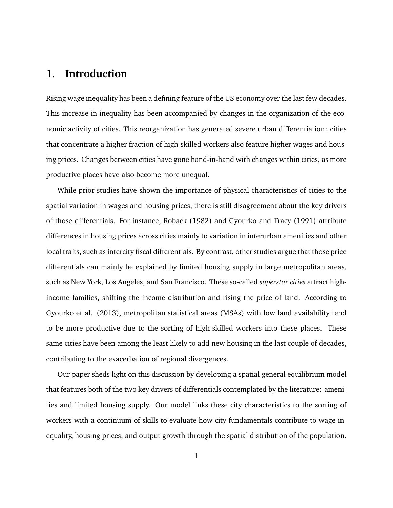# **1. Introduction**

Rising wage inequality has been a defining feature of the US economy over the last few decades. This increase in inequality has been accompanied by changes in the organization of the economic activity of cities. This reorganization has generated severe urban differentiation: cities that concentrate a higher fraction of high-skilled workers also feature higher wages and housing prices. Changes between cities have gone hand-in-hand with changes within cities, as more productive places have also become more unequal.

While prior studies have shown the importance of physical characteristics of cities to the spatial variation in wages and housing prices, there is still disagreement about the key drivers of those differentials. For instance, Roback (1982) and Gyourko and Tracy (1991) attribute differences in housing prices across cities mainly to variation in interurban amenities and other local traits, such as intercity fiscal differentials. By contrast, other studies argue that those price differentials can mainly be explained by limited housing supply in large metropolitan areas, such as New York, Los Angeles, and San Francisco. These so-called *superstar cities* attract highincome families, shifting the income distribution and rising the price of land. According to Gyourko et al. (2013), metropolitan statistical areas (MSAs) with low land availability tend to be more productive due to the sorting of high-skilled workers into these places. These same cities have been among the least likely to add new housing in the last couple of decades, contributing to the exacerbation of regional divergences.

Our paper sheds light on this discussion by developing a spatial general equilibrium model that features both of the two key drivers of differentials contemplated by the literature: amenities and limited housing supply. Our model links these city characteristics to the sorting of workers with a continuum of skills to evaluate how city fundamentals contribute to wage inequality, housing prices, and output growth through the spatial distribution of the population.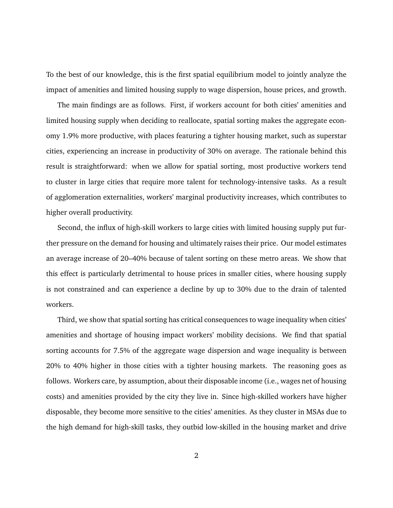To the best of our knowledge, this is the first spatial equilibrium model to jointly analyze the impact of amenities and limited housing supply to wage dispersion, house prices, and growth.

The main findings are as follows. First, if workers account for both cities' amenities and limited housing supply when deciding to reallocate, spatial sorting makes the aggregate economy 1.9% more productive, with places featuring a tighter housing market, such as superstar cities, experiencing an increase in productivity of 30% on average. The rationale behind this result is straightforward: when we allow for spatial sorting, most productive workers tend to cluster in large cities that require more talent for technology-intensive tasks. As a result of agglomeration externalities, workers' marginal productivity increases, which contributes to higher overall productivity.

Second, the influx of high-skill workers to large cities with limited housing supply put further pressure on the demand for housing and ultimately raises their price. Our model estimates an average increase of 20–40% because of talent sorting on these metro areas. We show that this effect is particularly detrimental to house prices in smaller cities, where housing supply is not constrained and can experience a decline by up to 30% due to the drain of talented workers.

Third, we show that spatial sorting has critical consequences to wage inequality when cities' amenities and shortage of housing impact workers' mobility decisions. We find that spatial sorting accounts for 7.5% of the aggregate wage dispersion and wage inequality is between 20% to 40% higher in those cities with a tighter housing markets. The reasoning goes as follows. Workers care, by assumption, about their disposable income (i.e., wages net of housing costs) and amenities provided by the city they live in. Since high-skilled workers have higher disposable, they become more sensitive to the cities' amenities. As they cluster in MSAs due to the high demand for high-skill tasks, they outbid low-skilled in the housing market and drive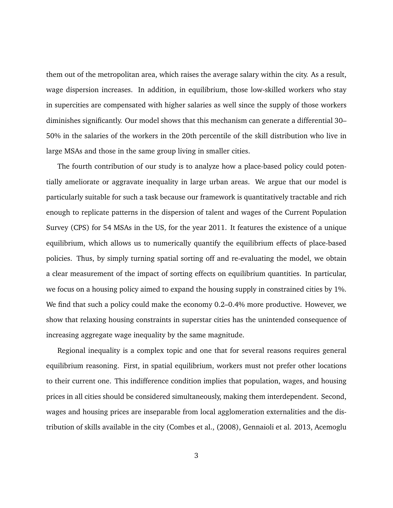them out of the metropolitan area, which raises the average salary within the city. As a result, wage dispersion increases. In addition, in equilibrium, those low-skilled workers who stay in supercities are compensated with higher salaries as well since the supply of those workers diminishes significantly. Our model shows that this mechanism can generate a differential 30– 50% in the salaries of the workers in the 20th percentile of the skill distribution who live in large MSAs and those in the same group living in smaller cities.

The fourth contribution of our study is to analyze how a place-based policy could potentially ameliorate or aggravate inequality in large urban areas. We argue that our model is particularly suitable for such a task because our framework is quantitatively tractable and rich enough to replicate patterns in the dispersion of talent and wages of the Current Population Survey (CPS) for 54 MSAs in the US, for the year 2011. It features the existence of a unique equilibrium, which allows us to numerically quantify the equilibrium effects of place-based policies. Thus, by simply turning spatial sorting off and re-evaluating the model, we obtain a clear measurement of the impact of sorting effects on equilibrium quantities. In particular, we focus on a housing policy aimed to expand the housing supply in constrained cities by 1%. We find that such a policy could make the economy 0.2–0.4% more productive. However, we show that relaxing housing constraints in superstar cities has the unintended consequence of increasing aggregate wage inequality by the same magnitude.

Regional inequality is a complex topic and one that for several reasons requires general equilibrium reasoning. First, in spatial equilibrium, workers must not prefer other locations to their current one. This indifference condition implies that population, wages, and housing prices in all cities should be considered simultaneously, making them interdependent. Second, wages and housing prices are inseparable from local agglomeration externalities and the distribution of skills available in the city (Combes et al., (2008), Gennaioli et al. 2013, Acemoglu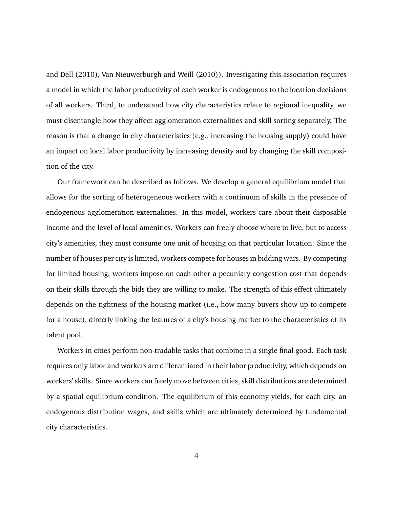and Dell (2010), Van Nieuwerburgh and Weill (2010)). Investigating this association requires a model in which the labor productivity of each worker is endogenous to the location decisions of all workers. Third, to understand how city characteristics relate to regional inequality, we must disentangle how they affect agglomeration externalities and skill sorting separately. The reason is that a change in city characteristics (e.g., increasing the housing supply) could have an impact on local labor productivity by increasing density and by changing the skill composition of the city.

Our framework can be described as follows. We develop a general equilibrium model that allows for the sorting of heterogeneous workers with a continuum of skills in the presence of endogenous agglomeration externalities. In this model, workers care about their disposable income and the level of local amenities. Workers can freely choose where to live, but to access city's amenities, they must consume one unit of housing on that particular location. Since the number of houses per city is limited, workers compete for houses in bidding wars. By competing for limited housing, workers impose on each other a pecuniary congestion cost that depends on their skills through the bids they are willing to make. The strength of this effect ultimately depends on the tightness of the housing market (i.e., how many buyers show up to compete for a house), directly linking the features of a city's housing market to the characteristics of its talent pool.

Workers in cities perform non-tradable tasks that combine in a single final good. Each task requires only labor and workers are differentiated in their labor productivity, which depends on workers' skills. Since workers can freely move between cities, skill distributions are determined by a spatial equilibrium condition. The equilibrium of this economy yields, for each city, an endogenous distribution wages, and skills which are ultimately determined by fundamental city characteristics.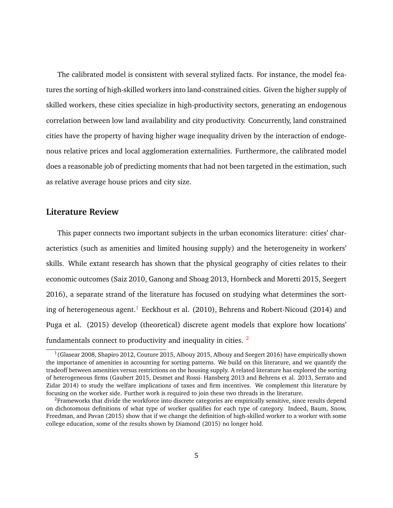The calibrated model is consistent with several stylized facts. For instance, the model features the sorting of high-skilled workers into land-constrained cities. Given the higher supply of skilled workers, these cities specialize in high-productivity sectors, generating an endogenous correlation between low land availability and city productivity. Concurrently, land constrained cities have the property of having higher wage inequality driven by the interaction of endogenous relative prices and local agglomeration externalities. Furthermore, the calibrated model does a reasonable job of predicting moments that had not been targeted in the estimation, such as relative average house prices and city size.

### **Literature Review**

This paper connects two important subjects in the urban economics literature: cities' characteristics (such as amenities and limited housing supply) and the heterogeneity in workers' skills. While extant research has shown that the physical geography of cities relates to their economic outcomes (Saiz 2010, Ganong and Shoag 2013, Hornbeck and Moretti 2015, Seegert 2016), a separate strand of the literature has focused on studying what determines the sort-ing of heterogeneous agent.<sup>[1](#page-5-0)</sup> Eeckhout et al.  $(2010)$ , Behrens and Robert-Nicoud  $(2014)$  and Puga et al. (2015) develop (theoretical) discrete agent models that explore how locations' fundamentals connect to productivity and inequality in cities. <sup>[2](#page-5-1)</sup>

<span id="page-5-0"></span> $1$ (Glasear 2008, Shapiro 2012, Couture 2015, Albouy 2015, Albouy and Seegert 2016) have empirically shown the importance of amenities in accounting for sorting patterns. We build on this literature, and we quantify the tradeoff between amenities versus restrictions on the housing supply. A related literature has explored the sorting of heterogeneous firms (Gaubert 2015, Desmet and Rossi- Hansberg 2013 and Behrens et al. 2013, Serrato and Zidar 2014) to study the welfare implications of taxes and firm incentives. We complement this literature by focusing on the worker side. Further work is required to join these two threads in the literature.

<span id="page-5-1"></span><sup>&</sup>lt;sup>2</sup>Frameworks that divide the workforce into discrete categories are empirically sensitive, since results depend on dichotomous definitions of what type of worker qualifies for each type of category. Indeed, Baum, Snow, Freedman, and Pavan (2015) show that if we change the definition of high-skilled worker to a worker with some college education, some of the results shown by Diamond (2015) no longer hold.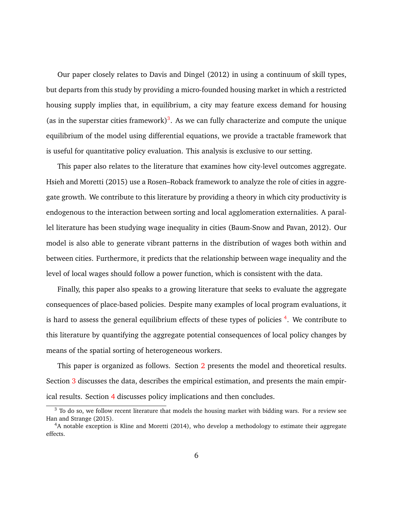Our paper closely relates to Davis and Dingel (2012) in using a continuum of skill types, but departs from this study by providing a micro-founded housing market in which a restricted housing supply implies that, in equilibrium, a city may feature excess demand for housing (as in the superstar cities framework)<sup>[3](#page-6-0)</sup>. As we can fully characterize and compute the unique equilibrium of the model using differential equations, we provide a tractable framework that is useful for quantitative policy evaluation. This analysis is exclusive to our setting.

This paper also relates to the literature that examines how city-level outcomes aggregate. Hsieh and Moretti (2015) use a Rosen–Roback framework to analyze the role of cities in aggregate growth. We contribute to this literature by providing a theory in which city productivity is endogenous to the interaction between sorting and local agglomeration externalities. A parallel literature has been studying wage inequality in cities (Baum-Snow and Pavan, 2012). Our model is also able to generate vibrant patterns in the distribution of wages both within and between cities. Furthermore, it predicts that the relationship between wage inequality and the level of local wages should follow a power function, which is consistent with the data.

Finally, this paper also speaks to a growing literature that seeks to evaluate the aggregate consequences of place-based policies. Despite many examples of local program evaluations, it is hard to assess the general equilibrium effects of these types of policies <sup>[4](#page-6-1)</sup>. We contribute to this literature by quantifying the aggregate potential consequences of local policy changes by means of the spatial sorting of heterogeneous workers.

This paper is organized as follows. Section [2](#page-7-0) presents the model and theoretical results. Section [3](#page-17-0) discusses the data, describes the empirical estimation, and presents the main empirical results. Section [4](#page-33-0) discusses policy implications and then concludes.

<span id="page-6-0"></span><sup>&</sup>lt;sup>3</sup> To do so, we follow recent literature that models the housing market with bidding wars. For a review see Han and Strange (2015).

<span id="page-6-1"></span><sup>&</sup>lt;sup>4</sup>A notable exception is Kline and Moretti (2014), who develop a methodology to estimate their aggregate effects.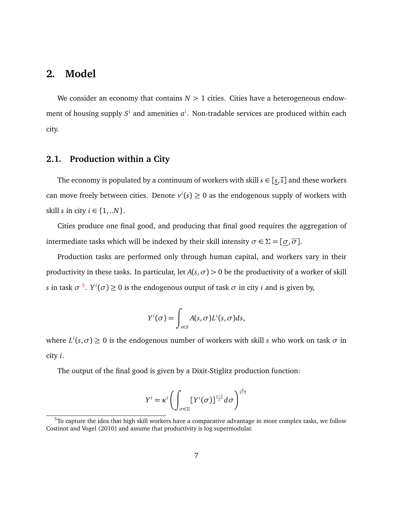# <span id="page-7-0"></span>**2. Model**

We consider an economy that contains  $N > 1$  cities. Cities have a heterogeneous endowment of housing supply  $S^i$  and amenities  $a^i$ . Non-tradable services are produced within each city.

### **2.1. Production within a City**

The economy is populated by a continuum of workers with skill  $s \in [s, \overline{s}]$  and these workers can move freely between cities. Denote  $v^i(s) \geq 0$  as the endogenous supply of workers with skill *s* in city  $i \in \{1,..N\}$ .

Cities produce one final good, and producing that final good requires the aggregation of intermediate tasks which will be indexed by their skill intensity  $\sigma \in \Sigma = [\sigma, \overline{\sigma}]$ .

Production tasks are performed only through human capital, and workers vary in their productivity in these tasks. In particular, let  $A(s, \sigma) > 0$  be the productivity of a worker of skill *s* in task  $\sigma$ <sup>[5](#page-7-1)</sup>.  $Y^i(\sigma) \ge 0$  is the endogenous output of task  $\sigma$  in city *i* and is given by,

$$
Y^{i}(\sigma) = \int_{s \in S} A(s, \sigma) L^{i}(s, \sigma) ds,
$$

where  $L^i(s, \sigma) \ge 0$  is the endogenous number of workers with skill *s* who work on task  $\sigma$  in city *i*.

The output of the final good is given by a Dixit-Stiglitz production function:

$$
Y^{i} = \kappa^{i} \left( \int_{\sigma \in \Sigma} [Y^{i}(\sigma)]^{\frac{\varepsilon - 1}{\varepsilon}} d\sigma \right)^{\frac{\varepsilon}{\varepsilon - 1}}
$$

<span id="page-7-1"></span> $5$ To capture the idea that high skill workers have a comparative advantage in more complex tasks, we follow Costinot and Vogel (2010) and assume that productivity is log supermodular.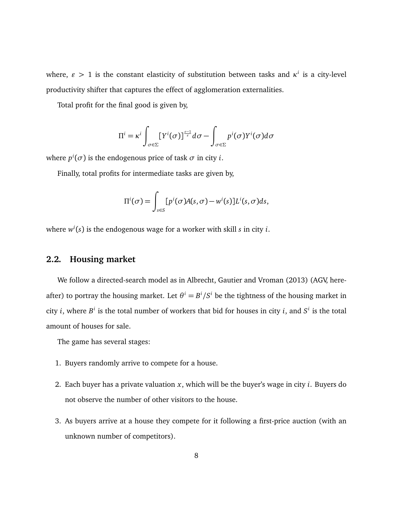where,  $\varepsilon > 1$  is the constant elasticity of substitution between tasks and  $\kappa^i$  is a city-level productivity shifter that captures the effect of agglomeration externalities.

Total profit for the final good is given by,

$$
\Pi^i = \kappa^i \int_{\sigma \in \Sigma} [Y^i(\sigma)]^{\frac{\varepsilon - 1}{\varepsilon}} d\sigma - \int_{\sigma \in \Sigma} p^i(\sigma) Y^i(\sigma) d\sigma
$$

where  $p^i(\sigma)$  is the endogenous price of task  $\sigma$  in city *i*.

Finally, total profits for intermediate tasks are given by,

$$
\Pi^{i}(\sigma) = \int_{s \in S} [p^{i}(\sigma)A(s, \sigma) - w^{i}(s)]L^{i}(s, \sigma)ds,
$$

where *w i* (*s*) is the endogenous wage for a worker with skill *s* in city *i*.

### <span id="page-8-0"></span>**2.2. Housing market**

We follow a directed-search model as in Albrecht, Gautier and Vroman (2013) (AGV, hereafter) to portray the housing market. Let  $\theta^i = B^i/S^i$  be the tightness of the housing market in city *i*, where  $B^i$  is the total number of workers that bid for houses in city *i*, and  $S^i$  is the total amount of houses for sale.

The game has several stages:

- 1. Buyers randomly arrive to compete for a house.
- 2. Each buyer has a private valuation *x*, which will be the buyer's wage in city *i*. Buyers do not observe the number of other visitors to the house.
- 3. As buyers arrive at a house they compete for it following a first-price auction (with an unknown number of competitors).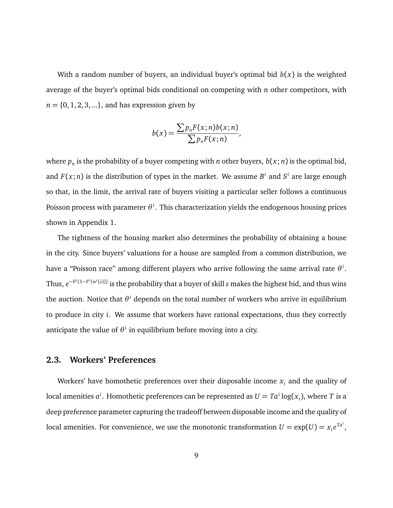With a random number of buyers, an individual buyer's optimal bid  $b(x)$  is the weighted average of the buyer's optimal bids conditional on competing with *n* other competitors, with  $n = \{0, 1, 2, 3, ...\}$ , and has expression given by

$$
b(x) = \frac{\sum p_n F(x; n) b(x; n)}{\sum p_n F(x; n)},
$$

where  $p_n$  is the probability of a buyer competing with  $n$  other buyers,  $b(x;n)$  is the optimal bid, and  $F(x; n)$  is the distribution of types in the market. We assume  $B^i$  and  $S^i$  are large enough so that, in the limit, the arrival rate of buyers visiting a particular seller follows a continuous Poisson process with parameter *θ i* . This characterization yields the endogenous housing prices shown in Appendix 1.

The tightness of the housing market also determines the probability of obtaining a house in the city. Since buyers' valuations for a house are sampled from a common distribution, we have a "Poisson race" among different players who arrive following the same arrival rate *θ i* . Thus, *e* −*θ i* (1−*F i* (*w i* (*s*))) is the probability that a buyer of skill *s* makes the highest bid, and thus wins the auction. Notice that *θ <sup>i</sup>* depends on the total number of workers who arrive in equilibrium to produce in city *i*. We assume that workers have rational expectations, thus they correctly anticipate the value of  $\theta^i$  in equilibrium before moving into a city.

### **2.3. Workers' Preferences**

Workers' have homothetic preferences over their disposable income  $x_i$  and the quality of local amenities  $a^i$ . Homothetic preferences can be represented as  $U = Ta^i \log(x_i)$ , where  $T$  is a deep preference parameter capturing the tradeoff between disposable income and the quality of local amenities. For convenience, we use the monotonic transformation  $U = \exp(U) = x_i e^{T a^i}$ ,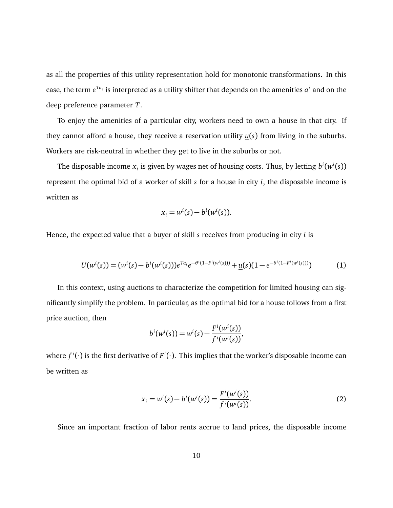as all the properties of this utility representation hold for monotonic transformations. In this case, the term  $e^{Ta_i}$  is interpreted as a utility shifter that depends on the amenities  $a^i$  and on the deep preference parameter *T*.

To enjoy the amenities of a particular city, workers need to own a house in that city. If they cannot afford a house, they receive a reservation utility *u*(*s*) from living in the suburbs. Workers are risk-neutral in whether they get to live in the suburbs or not.

The disposable income  $x_i$  is given by wages net of housing costs. Thus, by letting  $b^i(w^i(s))$ represent the optimal bid of a worker of skill *s* for a house in city *i*, the disposable income is written as

$$
x_i = w^i(s) - b^i(w^i(s)).
$$

Hence, the expected value that a buyer of skill *s* receives from producing in city *i* is

<span id="page-10-1"></span>
$$
U(w^{i}(s)) = (w^{i}(s) - b^{i}(w^{i}(s)))e^{Ta_{i}}e^{-\theta^{i}(1 - F^{i}(w^{i}(s)))} + \underline{u}(s)(1 - e^{-\theta^{i}(1 - F^{i}(w^{i}(s))))})
$$
(1)

In this context, using auctions to characterize the competition for limited housing can significantly simplify the problem. In particular, as the optimal bid for a house follows from a first price auction, then

$$
b^{i}(w^{i}(s)) = w^{i}(s) - \frac{F^{i}(w^{i}(s))}{f^{i}(w^{i}(s))},
$$

where  $f^i(\cdot)$  is the first derivative of  $F^i(\cdot)$ . This implies that the worker's disposable income can be written as

<span id="page-10-0"></span>
$$
x_i = w^i(s) - b^i(w^i(s)) = \frac{F^i(w^i(s))}{f^i(w^i(s))}.
$$
 (2)

Since an important fraction of labor rents accrue to land prices, the disposable income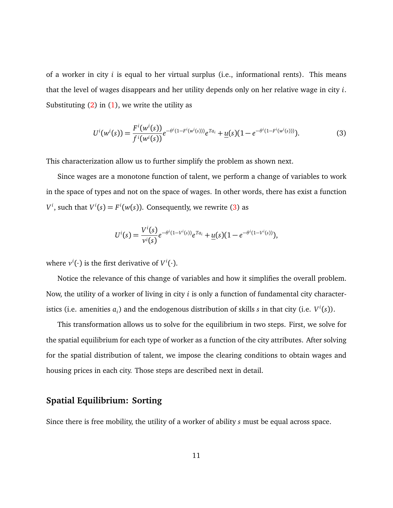of a worker in city *i* is equal to her virtual surplus (i.e., informational rents). This means that the level of wages disappears and her utility depends only on her relative wage in city *i*. Substituting  $(2)$  in  $(1)$ , we write the utility as

<span id="page-11-0"></span>
$$
U^{i}(w^{i}(s)) = \frac{F^{i}(w^{i}(s))}{f^{i}(w^{i}(s))}e^{-\theta^{i}(1-F^{i}(w^{i}(s)))}e^{Ta_{i}} + \underline{u}(s)(1-e^{-\theta^{i}(1-F^{i}(w^{i}(s)))}).
$$
\n(3)

This characterization allow us to further simplify the problem as shown next.

Since wages are a monotone function of talent, we perform a change of variables to work in the space of types and not on the space of wages. In other words, there has exist a function  $V^i$ , such that  $V^i(s) = F^i(w(s))$ . Consequently, we rewrite [\(3\)](#page-11-0) as

$$
U^{i}(s) = \frac{V^{i}(s)}{v^{i}(s)} e^{-\theta^{i}(1-V^{i}(s))} e^{Ta_{i}} + \underline{u}(s)(1 - e^{-\theta^{i}(1-V^{i}(s))}),
$$

where  $v^i(\cdot)$  is the first derivative of  $V^i(\cdot)$ .

Notice the relevance of this change of variables and how it simplifies the overall problem. Now, the utility of a worker of living in city *i* is only a function of fundamental city characteristics (i.e. amenities  $a_i$ ) and the endogenous distribution of skills  $s$  in that city (i.e.  $V^i(s)$ ).

This transformation allows us to solve for the equilibrium in two steps. First, we solve for the spatial equilibrium for each type of worker as a function of the city attributes. After solving for the spatial distribution of talent, we impose the clearing conditions to obtain wages and housing prices in each city. Those steps are described next in detail.

# **Spatial Equilibrium: Sorting**

Since there is free mobility, the utility of a worker of ability *s* must be equal across space.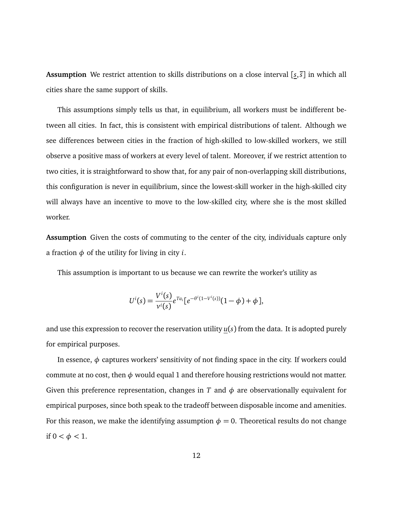**Assumption** We restrict attention to skills distributions on a close interval [*s*,*s*] in which all cities share the same support of skills.

This assumptions simply tells us that, in equilibrium, all workers must be indifferent between all cities. In fact, this is consistent with empirical distributions of talent. Although we see differences between cities in the fraction of high-skilled to low-skilled workers, we still observe a positive mass of workers at every level of talent. Moreover, if we restrict attention to two cities, it is straightforward to show that, for any pair of non-overlapping skill distributions, this configuration is never in equilibrium, since the lowest-skill worker in the high-skilled city will always have an incentive to move to the low-skilled city, where she is the most skilled worker.

**Assumption** Given the costs of commuting to the center of the city, individuals capture only a fraction  $\phi$  of the utility for living in city *i*.

This assumption is important to us because we can rewrite the worker's utility as

$$
U^{i}(s) = \frac{V^{i}(s)}{v^{i}(s)} e^{Ta_{i}} [e^{-\theta^{i}(1-V^{i}(s))}(1-\phi) + \phi],
$$

and use this expression to recover the reservation utility  $u(s)$  from the data. It is adopted purely for empirical purposes.

In essence, *φ* captures workers' sensitivity of not finding space in the city. If workers could commute at no cost, then  $\phi$  would equal 1 and therefore housing restrictions would not matter. Given this preference representation, changes in *T* and  $\phi$  are observationally equivalent for empirical purposes, since both speak to the tradeoff between disposable income and amenities. For this reason, we make the identifying assumption  $\phi = 0$ . Theoretical results do not change if 0 *< φ <* 1.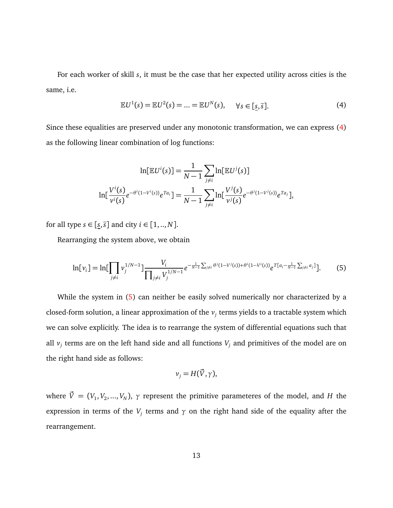For each worker of skill *s*, it must be the case that her expected utility across cities is the same, i.e.

<span id="page-13-0"></span>
$$
\mathbb{E}U^{1}(s) = \mathbb{E}U^{2}(s) = \dots = \mathbb{E}U^{N}(s), \quad \forall s \in [\underline{s}, \overline{s}]. \tag{4}
$$

Since these equalities are preserved under any monotonic transformation, we can express [\(4\)](#page-13-0) as the following linear combination of log functions:

$$
\ln[\mathbb{E}U^{i}(s)] = \frac{1}{N-1} \sum_{j \neq i} \ln[\mathbb{E}U^{j}(s)]
$$

$$
\ln[\frac{V^{i}(s)}{v^{i}(s)}e^{-\theta^{i}(1-V^{i}(s))}e^{Ta_{i}}] = \frac{1}{N-1} \sum_{j \neq i} \ln[\frac{V^{j}(s)}{v^{j}(s)}e^{-\theta^{j}(1-V^{j}(s))}e^{Ta_{j}}],
$$

for all type  $s \in [s, \overline{s}]$  and city  $i \in [1, ..., N]$ .

Rearranging the system above, we obtain

<span id="page-13-1"></span>
$$
\ln[\nu_i] = \ln[\prod_{j \neq i} \nu_j^{1/N-1}] \frac{V_i}{\prod_{j \neq i} V_j^{1/N-1}} e^{-\frac{1}{N-1} \sum_{j \neq i} \theta^j (1 - V^j(s)) + \theta^i (1 - V^i(s))} e^{T[a_i - \frac{1}{N-1} \sum_{j \neq i} a_j]}].
$$
 (5)

While the system in [\(5\)](#page-13-1) can neither be easily solved numerically nor characterized by a closed-form solution, a linear approximation of the *v<sup>j</sup>* terms yields to a tractable system which we can solve explicitly. The idea is to rearrange the system of differential equations such that all  $v_j$  terms are on the left hand side and all functions  $V_j$  and primitives of the model are on the right hand side as follows:

$$
v_j = H(\vec{V}, \gamma),
$$

where  $\vec{V}=(V_1,V_2,...,V_N),\ \gamma$  represent the primitive parameteres of the model, and  $H$  the expression in terms of the  $V_j$  terms and  $\gamma$  on the right hand side of the equality after the rearrangement.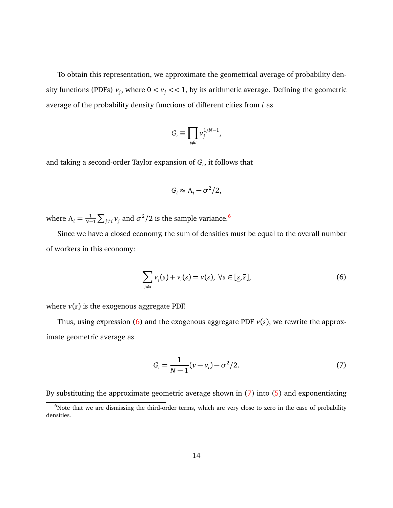To obtain this representation, we approximate the geometrical average of probability density functions (PDFs)  $v_j$ , where  $0 < v_j << 1$ , by its arithmetic average. Defining the geometric average of the probability density functions of different cities from *i* as

$$
G_i \equiv \prod_{j \neq i} v_j^{1/N-1},
$$

and taking a second-order Taylor expansion of *G<sup>i</sup>* , it follows that

$$
G_i \approx \Lambda_i - \sigma^2/2,
$$

where  $\Lambda_i = \frac{1}{N-1} \sum_{j \neq i} \nu_j$  and  $\sigma^2/2$  is the sample variance.<sup>[6](#page-14-0)</sup>

Since we have a closed economy, the sum of densities must be equal to the overall number of workers in this economy:

<span id="page-14-1"></span>
$$
\sum_{j\neq i} \nu_j(s) + \nu_i(s) = \nu(s), \ \forall s \in [\underline{s}, \overline{s}], \tag{6}
$$

where  $v(s)$  is the exogenous aggregate PDF.

Thus, using expression [\(6\)](#page-14-1) and the exogenous aggregate PDF  $v(s)$ , we rewrite the approximate geometric average as

<span id="page-14-2"></span>
$$
G_i = \frac{1}{N-1}(\nu - \nu_i) - \sigma^2/2.
$$
 (7)

By substituting the approximate geometric average shown in [\(7\)](#page-14-2) into [\(5\)](#page-13-1) and exponentiating

<span id="page-14-0"></span><sup>&</sup>lt;sup>6</sup>Note that we are dismissing the third-order terms, which are very close to zero in the case of probability densities.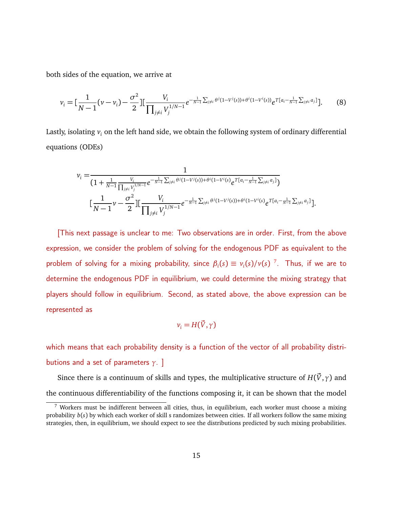both sides of the equation, we arrive at

$$
v_i = \left[\frac{1}{N-1}(v-v_i) - \frac{\sigma^2}{2}\right] \left[\frac{V_i}{\prod_{j \neq i} V_j^{1/N-1}} e^{-\frac{1}{N-1}\sum_{j \neq i} \theta^j (1-V^j(s)) + \theta^i (1-V^i(s))} e^{T[a_i - \frac{1}{N-1}\sum_{j \neq i} a_j]} \right].
$$
 (8)

Lastly, isolating *v<sup>i</sup>* on the left hand side, we obtain the following system of ordinary differential equations (ODEs)

$$
v_i = \frac{1}{(1 + \frac{1}{N-1} \frac{V_i}{\prod_{j \neq i} V_j^{1/N-1}} e^{-\frac{1}{N-1} \sum_{j \neq i} \theta^j (1-V^j(s)) + \theta^i (1-V^i(s)} e^{T[a_i - \frac{1}{N-1} \sum_{j \neq i} a_j]})}
$$

$$
\left[\frac{1}{N-1} \nu - \frac{\sigma^2}{2} \right] \left[\frac{V_i}{\prod_{j \neq i} V_j^{1/N-1}} e^{-\frac{1}{N-1} \sum_{j \neq i} \theta^j (1-V^i(s)) + \theta^i (1-V^i(s)} e^{T[a_i - \frac{1}{N-1} \sum_{j \neq i} a_j]}\right].
$$

[This next passage is unclear to me: Two observations are in order. First, from the above expression, we consider the problem of solving for the endogenous PDF as equivalent to the problem of solving for a mixing probability, since  $\beta_i(s) \equiv v_i(s)/v(s)^{-7}$  $\beta_i(s) \equiv v_i(s)/v(s)^{-7}$  $\beta_i(s) \equiv v_i(s)/v(s)^{-7}$ . Thus, if we are to determine the endogenous PDF in equilibrium, we could determine the mixing strategy that players should follow in equilibrium. Second, as stated above, the above expression can be represented as

$$
v_i = H(\vec{V}, \gamma)
$$

which means that each probability density is a function of the vector of all probability distributions and a set of parameters *γ*. ]

Since there is a continuum of skills and types, the multiplicative structure of  $H(\vec{V}, \gamma)$  and the continuous differentiability of the functions composing it, it can be shown that the model

<span id="page-15-0"></span> $<sup>7</sup>$  Workers must be indifferent between all cities, thus, in equilibrium, each worker must choose a mixing</sup> probability *b*(*s*) by which each worker of skill s randomizes between cities. If all workers follow the same mixing strategies, then, in equilibrium, we should expect to see the distributions predicted by such mixing probabilities.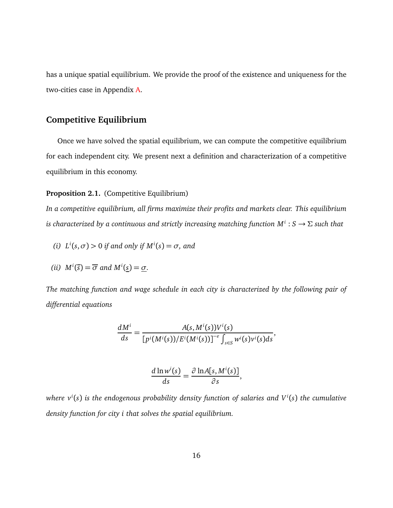has a unique spatial equilibrium. We provide the proof of the existence and uniqueness for the two-cities case in Appendix [A.](#page-40-0)

# **Competitive Equilibrium**

Once we have solved the spatial equilibrium, we can compute the competitive equilibrium for each independent city. We present next a definition and characterization of a competitive equilibrium in this economy.

#### <span id="page-16-0"></span>Proposition 2.1. (Competitive Equilibrium)

*In a competitive equilibrium, all firms maximize their profits and markets clear. This equilibrium is characterized by a continuous and strictly increasing matching function M<sup>i</sup>* : *S* → *Σ such that*

*(i)*  $L^{i}(s, \sigma) > 0$  *if and only if*  $M^{i}(s) = \sigma$ *, and* 

(ii) 
$$
M^i(\bar{s}) = \overline{\sigma}
$$
 and  $M^i(\underline{s}) = \underline{\sigma}$ .

*The matching function and wage schedule in each city is characterized by the following pair of differential equations*

$$
\frac{dM^i}{ds}=\frac{A(s,M^i(s))V^i(s)}{\left[p^i(M^i(s))/E^i(M^i(s))\right]^{-\varepsilon}\int_{s\in S}w^i(s)v^i(s)ds},
$$

$$
\frac{d \ln w^i(s)}{ds} = \frac{\partial \ln A[s, M^i(s)]}{\partial s},
$$

*where v<sup>i</sup>* (*s*) *is the endogenous probability density function of salaries and V <sup>i</sup>* (*s*) *the cumulative density function for city i that solves the spatial equilibrium.*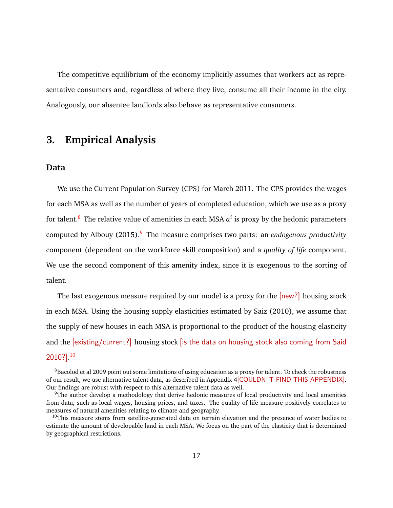The competitive equilibrium of the economy implicitly assumes that workers act as representative consumers and, regardless of where they live, consume all their income in the city. Analogously, our absentee landlords also behave as representative consumers.

# <span id="page-17-0"></span>**3. Empirical Analysis**

### **Data**

We use the Current Population Survey (CPS) for March 2011. The CPS provides the wages for each MSA as well as the number of years of completed education, which we use as a proxy for talent.[8](#page-17-1) The relative value of amenities in each MSA *a i* is proxy by the hedonic parameters computed by Albouy (2015).[9](#page-17-2) The measure comprises two parts: an *endogenous productivity* component (dependent on the workforce skill composition) and a *quality of life* component. We use the second component of this amenity index, since it is exogenous to the sorting of talent.

The last exogenous measure required by our model is a proxy for the  $[new?]$  housing stock in each MSA. Using the housing supply elasticities estimated by Saiz (2010), we assume that the supply of new houses in each MSA is proportional to the product of the housing elasticity and the [existing/current?] housing stock [is the data on housing stock also coming from Said 2010?]. [10](#page-17-3)

<span id="page-17-1"></span><sup>&</sup>lt;sup>8</sup>Bacolod et al 2009 point out some limitations of using education as a proxy for talent. To check the robustness of our result, we use alternative talent data, as described in Appendix 4[COULDN"T FIND THIS APPENDIX]. Our findings are robust with respect to this alternative talent data as well.

<span id="page-17-2"></span><sup>&</sup>lt;sup>9</sup>The author develop a methodology that derive hedonic measures of local productivity and local amenities from data, such as local wages, housing prices, and taxes. The quality of life measure positively correlates to measures of natural amenities relating to climate and geography.

<span id="page-17-3"></span> $10$ This measure stems from satellite-generated data on terrain elevation and the presence of water bodies to estimate the amount of developable land in each MSA. We focus on the part of the elasticity that is determined by geographical restrictions.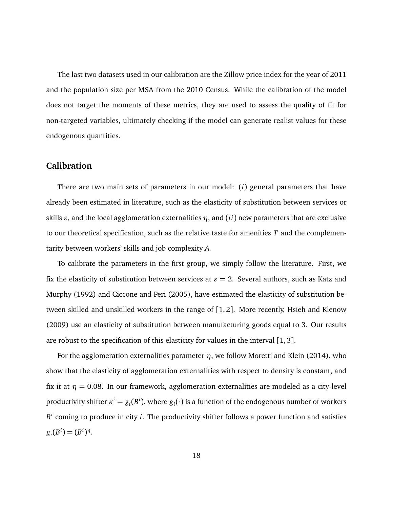The last two datasets used in our calibration are the Zillow price index for the year of 2011 and the population size per MSA from the 2010 Census. While the calibration of the model does not target the moments of these metrics, they are used to assess the quality of fit for non-targeted variables, ultimately checking if the model can generate realist values for these endogenous quantities.

### **Calibration**

There are two main sets of parameters in our model: (*i*) general parameters that have already been estimated in literature, such as the elasticity of substitution between services or skills  $\varepsilon$ , and the local agglomeration externalities  $\eta$ , and (*ii*) new parameters that are exclusive to our theoretical specification, such as the relative taste for amenities *T* and the complementarity between workers' skills and job complexity *A*.

To calibrate the parameters in the first group, we simply follow the literature. First, we fix the elasticity of substitution between services at  $\varepsilon = 2$ . Several authors, such as Katz and Murphy (1992) and Ciccone and Peri (2005), have estimated the elasticity of substitution between skilled and unskilled workers in the range of [1, 2]. More recently, Hsieh and Klenow (2009) use an elasticity of substitution between manufacturing goods equal to 3. Our results are robust to the specification of this elasticity for values in the interval [1, 3].

For the agglomeration externalities parameter *η*, we follow Moretti and Klein (2014), who show that the elasticity of agglomeration externalities with respect to density is constant, and fix it at  $\eta = 0.08$ . In our framework, agglomeration externalities are modeled as a city-level productivity shifter  $\kappa^i = g_i(B^i)$ , where  $g_i(\cdot)$  is a function of the endogenous number of workers *B i* coming to produce in city *i*. The productivity shifter follows a power function and satisfies  $g_i(B^i) = (B^i)^{\eta}$ .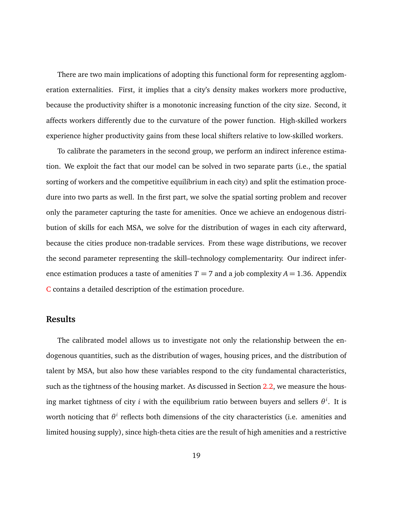There are two main implications of adopting this functional form for representing agglomeration externalities. First, it implies that a city's density makes workers more productive, because the productivity shifter is a monotonic increasing function of the city size. Second, it affects workers differently due to the curvature of the power function. High-skilled workers experience higher productivity gains from these local shifters relative to low-skilled workers.

To calibrate the parameters in the second group, we perform an indirect inference estimation. We exploit the fact that our model can be solved in two separate parts (i.e., the spatial sorting of workers and the competitive equilibrium in each city) and split the estimation procedure into two parts as well. In the first part, we solve the spatial sorting problem and recover only the parameter capturing the taste for amenities. Once we achieve an endogenous distribution of skills for each MSA, we solve for the distribution of wages in each city afterward, because the cities produce non-tradable services. From these wage distributions, we recover the second parameter representing the skill–technology complementarity. Our indirect inference estimation produces a taste of amenities  $T = 7$  and a job complexity  $A = 1.36$ . Appendix [C](#page-48-0) contains a detailed description of the estimation procedure.

### **Results**

The calibrated model allows us to investigate not only the relationship between the endogenous quantities, such as the distribution of wages, housing prices, and the distribution of talent by MSA, but also how these variables respond to the city fundamental characteristics, such as the tightness of the housing market. As discussed in Section [2.2,](#page-8-0) we measure the housing market tightness of city *i* with the equilibrium ratio between buyers and sellers *θ i* . It is worth noticing that  $θ$ <sup>*i*</sup> reflects both dimensions of the city characteristics (i.e. amenities and limited housing supply), since high-theta cities are the result of high amenities and a restrictive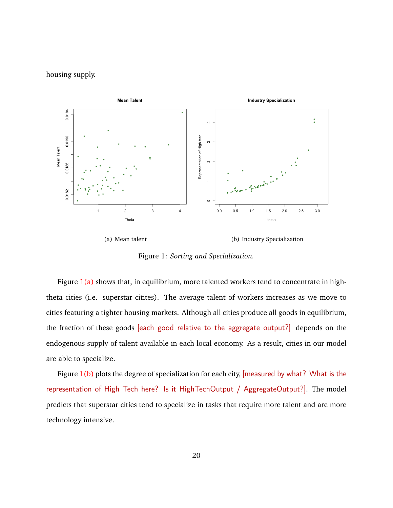#### housing supply.

<span id="page-20-0"></span>

<span id="page-20-1"></span>Figure 1: *Sorting and Specialization.*

Figure  $1(a)$  shows that, in equilibrium, more talented workers tend to concentrate in hightheta cities (i.e. superstar citites). The average talent of workers increases as we move to cities featuring a tighter housing markets. Although all cities produce all goods in equilibrium, the fraction of these goods [each good relative to the aggregate output?] depends on the endogenous supply of talent available in each local economy. As a result, cities in our model are able to specialize.

Figure  $1(b)$  plots the degree of specialization for each city, [measured by what? What is the representation of High Tech here? Is it HighTechOutput / AggregateOutput?]. The model predicts that superstar cities tend to specialize in tasks that require more talent and are more technology intensive.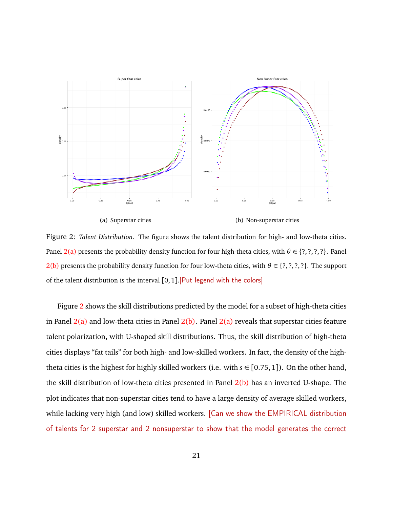<span id="page-21-0"></span>

<span id="page-21-1"></span>

<span id="page-21-2"></span>(a) Superstar cities (b) Non-superstar cities

Figure 2: *Talent Distribution.* The figure shows the talent distribution for high- and low-theta cities. Panel [2\(a\)](#page-21-0) presents the probability density function for four high-theta cities, with *θ* ∈ {?, ?, ?, ?}. Panel [2\(b\)](#page-21-1) presents the probability density function for four low-theta cities, with  $\theta \in \{?,?,?,?\}$ . The support of the talent distribution is the interval [0, 1].[Put legend with the colors]

Figure [2](#page-21-2) shows the skill distributions predicted by the model for a subset of high-theta cities in Panel  $2(a)$  and low-theta cities in Panel  $2(b)$ . Panel  $2(a)$  reveals that superstar cities feature talent polarization, with U-shaped skill distributions. Thus, the skill distribution of high-theta cities displays "fat tails" for both high- and low-skilled workers. In fact, the density of the hightheta cities is the highest for highly skilled workers (i.e. with  $s \in [0.75, 1]$ ). On the other hand, the skill distribution of low-theta cities presented in Panel [2\(b\)](#page-21-1) has an inverted U-shape. The plot indicates that non-superstar cities tend to have a large density of average skilled workers, while lacking very high (and low) skilled workers. [Can we show the EMPIRICAL distribution of talents for 2 superstar and 2 nonsuperstar to show that the model generates the correct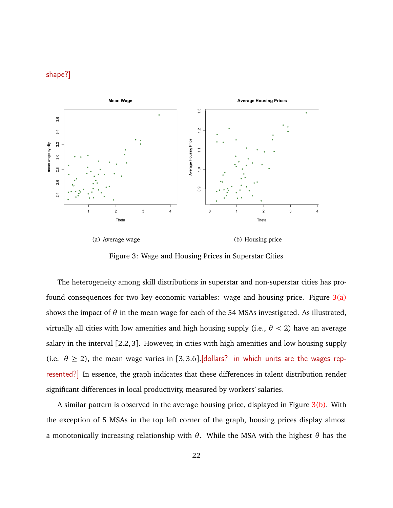### shape?]

<span id="page-22-0"></span>

(a) Average wage (b) Housing price

<span id="page-22-2"></span><span id="page-22-1"></span>Figure 3: Wage and Housing Prices in Superstar Cities

The heterogeneity among skill distributions in superstar and non-superstar cities has profound consequences for two key economic variables: wage and housing price. Figure  $3(a)$ shows the impact of  $\theta$  in the mean wage for each of the 54 MSAs investigated. As illustrated, virtually all cities with low amenities and high housing supply (i.e., *θ <* 2) have an average salary in the interval [2.2, 3]. However, in cities with high amenities and low housing supply (i.e.  $\theta \ge 2$ ), the mean wage varies in [3,3.6]. [dollars? in which units are the wages represented?] In essence, the graph indicates that these differences in talent distribution render significant differences in local productivity, measured by workers' salaries.

A similar pattern is observed in the average housing price, displayed in Figure  $3(b)$ . With the exception of 5 MSAs in the top left corner of the graph, housing prices display almost a monotonically increasing relationship with *θ*. While the MSA with the highest *θ* has the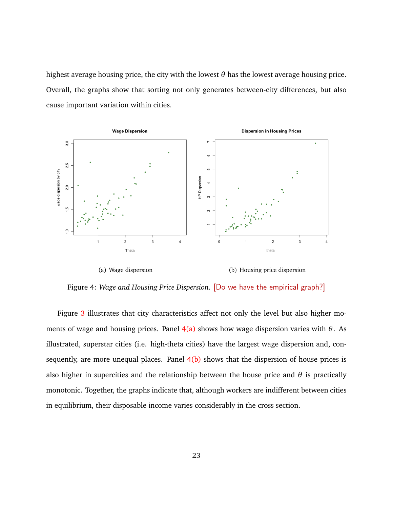highest average housing price, the city with the lowest *θ* has the lowest average housing price. Overall, the graphs show that sorting not only generates between-city differences, but also cause important variation within cities.

<span id="page-23-0"></span>

<span id="page-23-1"></span>Figure 4: *Wage and Housing Price Dispersion.* [Do we have the empirical graph?]

Figure [3](#page-22-2) illustrates that city characteristics affect not only the level but also higher moments of wage and housing prices. Panel  $4(a)$  shows how wage dispersion varies with  $\theta$ . As illustrated, superstar cities (i.e. high-theta cities) have the largest wage dispersion and, consequently, are more unequal places. Panel  $4(b)$  shows that the dispersion of house prices is also higher in supercities and the relationship between the house price and  $\theta$  is practically monotonic. Together, the graphs indicate that, although workers are indifferent between cities in equilibrium, their disposable income varies considerably in the cross section.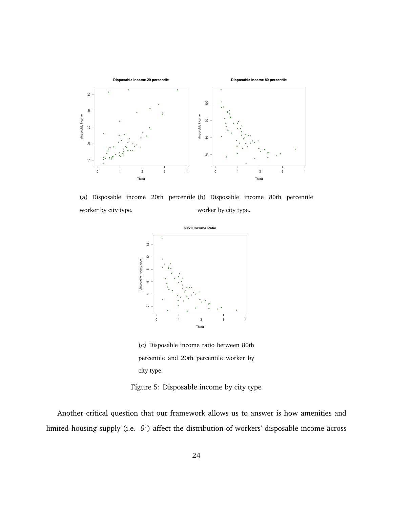<span id="page-24-1"></span>

(a) Disposable income 20th percentile (b) Disposable income 80th percentile worker by city type. worker by city type.

<span id="page-24-2"></span>

<span id="page-24-3"></span>(c) Disposable income ratio between 80th percentile and 20th percentile worker by city type.

<span id="page-24-0"></span>Figure 5: Disposable income by city type

Another critical question that our framework allows us to answer is how amenities and limited housing supply (i.e. θ<sup>i</sup>) affect the distribution of workers' disposable income across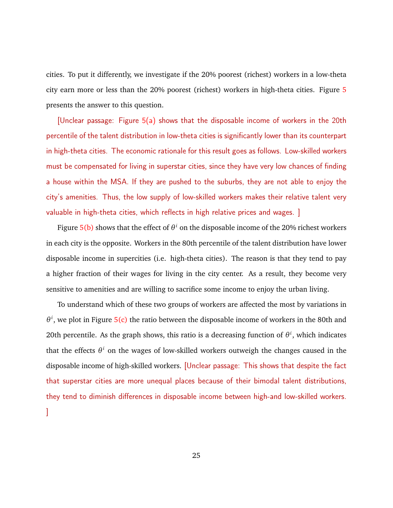cities. To put it differently, we investigate if the 20% poorest (richest) workers in a low-theta city earn more or less than the 20% poorest (richest) workers in high-theta cities. Figure [5](#page-24-0) presents the answer to this question.

[Unclear passage: Figure [5\(a\)](#page-24-1) shows that the disposable income of workers in the 20th percentile of the talent distribution in low-theta cities is significantly lower than its counterpart in high-theta cities. The economic rationale for this result goes as follows. Low-skilled workers must be compensated for living in superstar cities, since they have very low chances of finding a house within the MSA. If they are pushed to the suburbs, they are not able to enjoy the city's amenities. Thus, the low supply of low-skilled workers makes their relative talent very valuable in high-theta cities, which reflects in high relative prices and wages. ]

Figure  $5(b)$  shows that the effect of  $\theta^i$  on the disposable income of the 20% richest workers in each city is the opposite. Workers in the 80th percentile of the talent distribution have lower disposable income in supercities (i.e. high-theta cities). The reason is that they tend to pay a higher fraction of their wages for living in the city center. As a result, they become very sensitive to amenities and are willing to sacrifice some income to enjoy the urban living.

To understand which of these two groups of workers are affected the most by variations in  $\theta^i$ , we plot in Figure [5\(c\)](#page-24-3) the ratio between the disposable income of workers in the 80th and 20th percentile. As the graph shows, this ratio is a decreasing function of  $\theta^i$ , which indicates that the effects *θ <sup>i</sup>* on the wages of low-skilled workers outweigh the changes caused in the disposable income of high-skilled workers. [Unclear passage: This shows that despite the fact that superstar cities are more unequal places because of their bimodal talent distributions, they tend to diminish differences in disposable income between high-and low-skilled workers. ]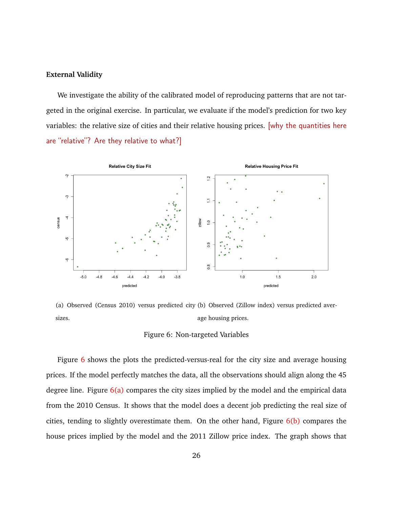#### **External Validity**

We investigate the ability of the calibrated model of reproducing patterns that are not targeted in the original exercise. In particular, we evaluate if the model's prediction for two key variables: the relative size of cities and their relative housing prices. [why the quantities here are "relative"? Are they relative to what?]

<span id="page-26-1"></span>

(a) Observed (Census 2010) versus predicted city (b) Observed (Zillow index) versus predicted aversizes. age housing prices.

#### <span id="page-26-2"></span><span id="page-26-0"></span>Figure 6: Non-targeted Variables

Figure  $6$  shows the plots the predicted-versus-real for the city size and average housing prices. If the model perfectly matches the data, all the observations should align along the 45 degree line. Figure  $6(a)$  compares the city sizes implied by the model and the empirical data from the 2010 Census. It shows that the model does a decent job predicting the real size of cities, tending to slightly overestimate them. On the other hand, Figure  $6(b)$  compares the house prices implied by the model and the 2011 Zillow price index. The graph shows that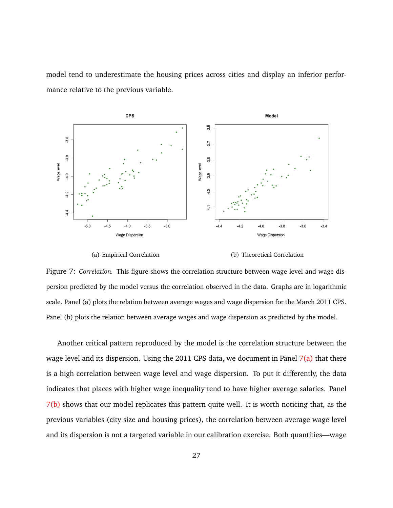model tend to underestimate the housing prices across cities and display an inferior performance relative to the previous variable.

<span id="page-27-0"></span>

<span id="page-27-1"></span>

(a) Empirical Correlation (b) Theoretical Correlation

Figure 7: *Correlation.* This figure shows the correlation structure between wage level and wage dispersion predicted by the model versus the correlation observed in the data. Graphs are in logarithmic scale. Panel (a) plots the relation between average wages and wage dispersion for the March 2011 CPS. Panel (b) plots the relation between average wages and wage dispersion as predicted by the model.

Another critical pattern reproduced by the model is the correlation structure between the wage level and its dispersion. Using the 2011 CPS data, we document in Panel  $7(a)$  that there is a high correlation between wage level and wage dispersion. To put it differently, the data indicates that places with higher wage inequality tend to have higher average salaries. Panel [7\(b\)](#page-27-1) shows that our model replicates this pattern quite well. It is worth noticing that, as the previous variables (city size and housing prices), the correlation between average wage level and its dispersion is not a targeted variable in our calibration exercise. Both quantities—wage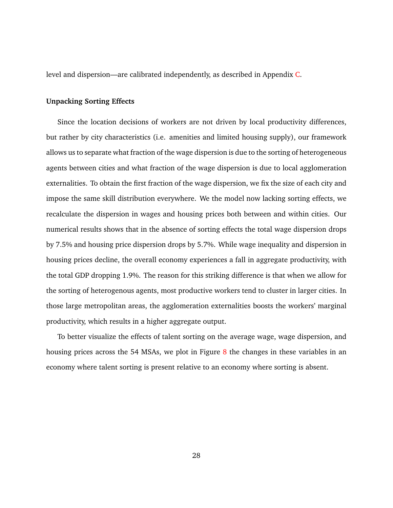level and dispersion—are calibrated independently, as described in Appendix [C.](#page-48-0)

#### **Unpacking Sorting Effects**

Since the location decisions of workers are not driven by local productivity differences, but rather by city characteristics (i.e. amenities and limited housing supply), our framework allows us to separate what fraction of the wage dispersion is due to the sorting of heterogeneous agents between cities and what fraction of the wage dispersion is due to local agglomeration externalities. To obtain the first fraction of the wage dispersion, we fix the size of each city and impose the same skill distribution everywhere. We the model now lacking sorting effects, we recalculate the dispersion in wages and housing prices both between and within cities. Our numerical results shows that in the absence of sorting effects the total wage dispersion drops by 7.5% and housing price dispersion drops by 5.7%. While wage inequality and dispersion in housing prices decline, the overall economy experiences a fall in aggregate productivity, with the total GDP dropping 1.9%. The reason for this striking difference is that when we allow for the sorting of heterogenous agents, most productive workers tend to cluster in larger cities. In those large metropolitan areas, the agglomeration externalities boosts the workers' marginal productivity, which results in a higher aggregate output.

To better visualize the effects of talent sorting on the average wage, wage dispersion, and housing prices across the 54 MSAs, we plot in Figure [8](#page-29-0) the changes in these variables in an economy where talent sorting is present relative to an economy where sorting is absent.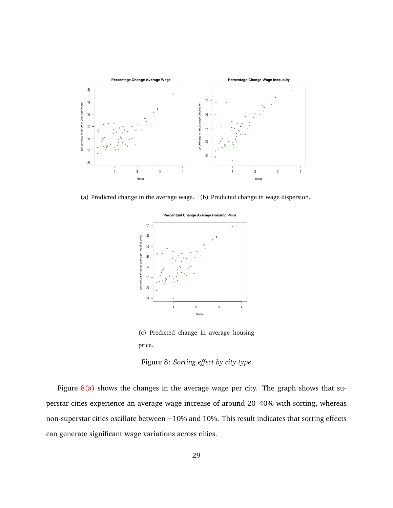<span id="page-29-1"></span>

(a) Predicted change in the average wage. (b) Predicted change in wage dispersion.

<span id="page-29-2"></span>

<span id="page-29-3"></span>(c) Predicted change in average housing price.

<span id="page-29-0"></span>Figure 8: *Sorting effect by city type*

Figure  $8(a)$  shows the changes in the average wage per city. The graph shows that superstar cities experience an average wage increase of around 20–40% with sorting, whereas non-superstar cities oscillate between −10% and 10%. This result indicates that sorting effects can generate significant wage variations across cities.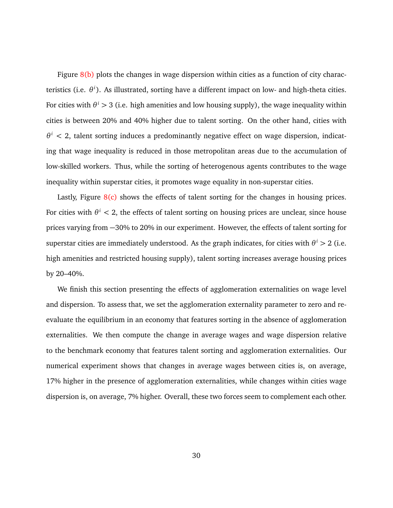Figure  $8(b)$  plots the changes in wage dispersion within cities as a function of city characteristics (i.e. *θ i* ). As illustrated, sorting have a different impact on low- and high-theta cities. For cities with  $\theta^i >$  3 (i.e. high amenities and low housing supply), the wage inequality within cities is between 20% and 40% higher due to talent sorting. On the other hand, cities with  $\theta^i$  < 2, talent sorting induces a predominantly negative effect on wage dispersion, indicating that wage inequality is reduced in those metropolitan areas due to the accumulation of low-skilled workers. Thus, while the sorting of heterogenous agents contributes to the wage inequality within superstar cities, it promotes wage equality in non-superstar cities.

Lastly, Figure  $8(c)$  shows the effects of talent sorting for the changes in housing prices. For cities with  $\theta^i < 2$ , the effects of talent sorting on housing prices are unclear, since house prices varying from −30% to 20% in our experiment. However, the effects of talent sorting for superstar cities are immediately understood. As the graph indicates, for cities with  $\theta^i > 2$  (i.e. high amenities and restricted housing supply), talent sorting increases average housing prices by 20–40%.

We finish this section presenting the effects of agglomeration externalities on wage level and dispersion. To assess that, we set the agglomeration externality parameter to zero and reevaluate the equilibrium in an economy that features sorting in the absence of agglomeration externalities. We then compute the change in average wages and wage dispersion relative to the benchmark economy that features talent sorting and agglomeration externalities. Our numerical experiment shows that changes in average wages between cities is, on average, 17% higher in the presence of agglomeration externalities, while changes within cities wage dispersion is, on average, 7% higher. Overall, these two forces seem to complement each other.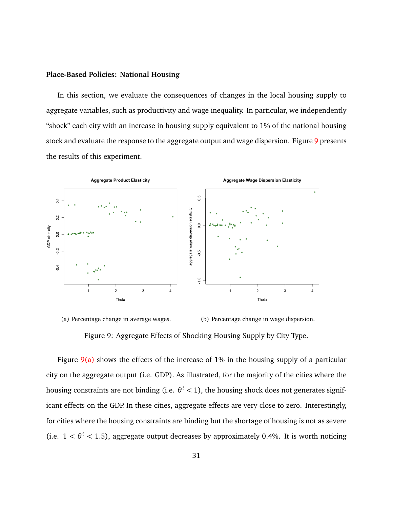#### **Place-Based Policies: National Housing**

In this section, we evaluate the consequences of changes in the local housing supply to aggregate variables, such as productivity and wage inequality. In particular, we independently "shock" each city with an increase in housing supply equivalent to 1% of the national housing stock and evaluate the response to the aggregate output and wage dispersion. Figure [9](#page-31-0) presents the results of this experiment.

<span id="page-31-1"></span>



<span id="page-31-2"></span><span id="page-31-0"></span>

Figure  $9(a)$  shows the effects of the increase of 1% in the housing supply of a particular city on the aggregate output (i.e. GDP). As illustrated, for the majority of the cities where the housing constraints are not binding (i.e. *θ <sup>i</sup> <* 1), the housing shock does not generates significant effects on the GDP. In these cities, aggregate effects are very close to zero. Interestingly, for cities where the housing constraints are binding but the shortage of housing is not as severe (i.e.  $1 < \theta^i < 1.5$ ), aggregate output decreases by approximately 0.4%. It is worth noticing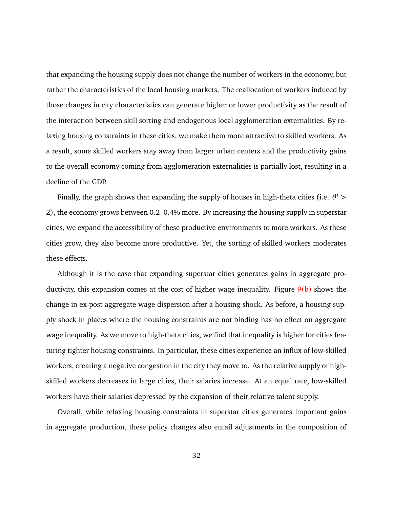that expanding the housing supply does not change the number of workers in the economy, but rather the characteristics of the local housing markets. The reallocation of workers induced by those changes in city characteristics can generate higher or lower productivity as the result of the interaction between skill sorting and endogenous local agglomeration externalities. By relaxing housing constraints in these cities, we make them more attractive to skilled workers. As a result, some skilled workers stay away from larger urban centers and the productivity gains to the overall economy coming from agglomeration externalities is partially lost, resulting in a decline of the GDP.

Finally, the graph shows that expanding the supply of houses in high-theta cities (i.e.  $\theta^i$   $>$ 2), the economy grows between 0.2–0.4% more. By increasing the housing supply in superstar cities, we expand the accessibility of these productive environments to more workers. As these cities grow, they also become more productive. Yet, the sorting of skilled workers moderates these effects.

Although it is the case that expanding superstar cities generates gains in aggregate productivity, this expansion comes at the cost of higher wage inequality. Figure  $9(b)$  shows the change in ex-post aggregate wage dispersion after a housing shock. As before, a housing supply shock in places where the housing constraints are not binding has no effect on aggregate wage inequality. As we move to high-theta cities, we find that inequality is higher for cities featuring tighter housing constraints. In particular, these cities experience an influx of low-skilled workers, creating a negative congestion in the city they move to. As the relative supply of highskilled workers decreases in large cities, their salaries increase. At an equal rate, low-skilled workers have their salaries depressed by the expansion of their relative talent supply.

Overall, while relaxing housing constraints in superstar cities generates important gains in aggregate production, these policy changes also entail adjustments in the composition of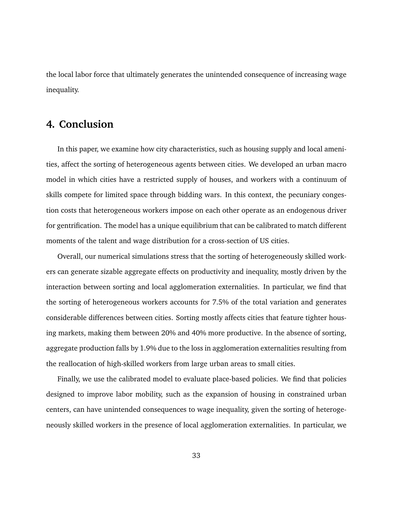the local labor force that ultimately generates the unintended consequence of increasing wage inequality.

# <span id="page-33-0"></span>**4. Conclusion**

In this paper, we examine how city characteristics, such as housing supply and local amenities, affect the sorting of heterogeneous agents between cities. We developed an urban macro model in which cities have a restricted supply of houses, and workers with a continuum of skills compete for limited space through bidding wars. In this context, the pecuniary congestion costs that heterogeneous workers impose on each other operate as an endogenous driver for gentrification. The model has a unique equilibrium that can be calibrated to match different moments of the talent and wage distribution for a cross-section of US cities.

Overall, our numerical simulations stress that the sorting of heterogeneously skilled workers can generate sizable aggregate effects on productivity and inequality, mostly driven by the interaction between sorting and local agglomeration externalities. In particular, we find that the sorting of heterogeneous workers accounts for 7.5% of the total variation and generates considerable differences between cities. Sorting mostly affects cities that feature tighter housing markets, making them between 20% and 40% more productive. In the absence of sorting, aggregate production falls by 1.9% due to the loss in agglomeration externalities resulting from the reallocation of high-skilled workers from large urban areas to small cities.

Finally, we use the calibrated model to evaluate place-based policies. We find that policies designed to improve labor mobility, such as the expansion of housing in constrained urban centers, can have unintended consequences to wage inequality, given the sorting of heterogeneously skilled workers in the presence of local agglomeration externalities. In particular, we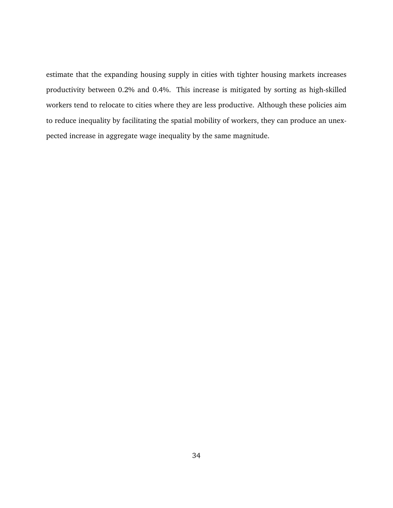estimate that the expanding housing supply in cities with tighter housing markets increases productivity between 0.2% and 0.4%. This increase is mitigated by sorting as high-skilled workers tend to relocate to cities where they are less productive. Although these policies aim to reduce inequality by facilitating the spatial mobility of workers, they can produce an unexpected increase in aggregate wage inequality by the same magnitude.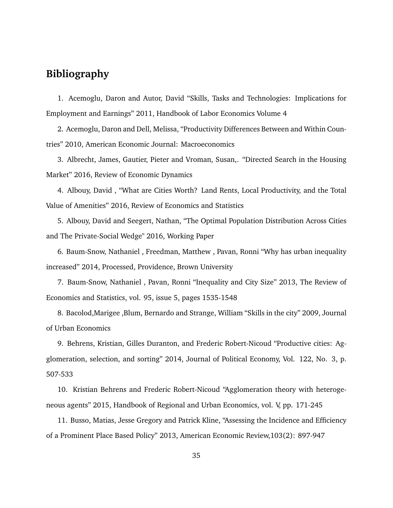# **Bibliography**

1. Acemoglu, Daron and Autor, David "Skills, Tasks and Technologies: Implications for Employment and Earnings" 2011, Handbook of Labor Economics Volume 4

2. Acemoglu, Daron and Dell, Melissa, "Productivity Differences Between and Within Countries" 2010, American Economic Journal: Macroeconomics

3. Albrecht, James, Gautier, Pieter and Vroman, Susan,. "Directed Search in the Housing Market" 2016, Review of Economic Dynamics

4. Albouy, David , "What are Cities Worth? Land Rents, Local Productivity, and the Total Value of Amenities" 2016, Review of Economics and Statistics

5. Albouy, David and Seegert, Nathan, "The Optimal Population Distribution Across Cities and The Private-Social Wedge" 2016, Working Paper

6. Baum-Snow, Nathaniel , Freedman, Matthew , Pavan, Ronni "Why has urban inequality increased" 2014, Processed, Providence, Brown University

7. Baum-Snow, Nathaniel , Pavan, Ronni "Inequality and City Size" 2013, The Review of Economics and Statistics, vol. 95, issue 5, pages 1535-1548

8. Bacolod,Marigee ,Blum, Bernardo and Strange, William "Skills in the city" 2009, Journal of Urban Economics

9. Behrens, Kristian, Gilles Duranton, and Frederic Robert-Nicoud "Productive cities: Agglomeration, selection, and sorting" 2014, Journal of Political Economy, Vol. 122, No. 3, p. 507-533

10. Kristian Behrens and Frederic Robert-Nicoud "Agglomeration theory with heterogeneous agents" 2015, Handbook of Regional and Urban Economics, vol. V, pp. 171-245

11. Busso, Matias, Jesse Gregory and Patrick Kline, "Assessing the Incidence and Efficiency of a Prominent Place Based Policy" 2013, American Economic Review,103(2): 897-947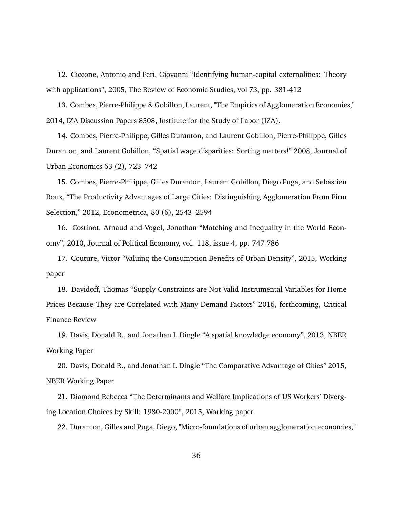12. Ciccone, Antonio and Peri, Giovanni "Identifying human-capital externalities: Theory with applications", 2005, The Review of Economic Studies, vol 73, pp. 381-412

13. Combes, Pierre-Philippe & Gobillon, Laurent, "The Empirics of Agglomeration Economies," 2014, IZA Discussion Papers 8508, Institute for the Study of Labor (IZA).

14. Combes, Pierre-Philippe, Gilles Duranton, and Laurent Gobillon, Pierre-Philippe, Gilles Duranton, and Laurent Gobillon, "Spatial wage disparities: Sorting matters!" 2008, Journal of Urban Economics 63 (2), 723–742

15. Combes, Pierre-Philippe, Gilles Duranton, Laurent Gobillon, Diego Puga, and Sebastien Roux, "The Productivity Advantages of Large Cities: Distinguishing Agglomeration From Firm Selection," 2012, Econometrica, 80 (6), 2543–2594

16. Costinot, Arnaud and Vogel, Jonathan "Matching and Inequality in the World Economy", 2010, Journal of Political Economy, vol. 118, issue 4, pp. 747-786

17. Couture, Victor "Valuing the Consumption Benefits of Urban Density", 2015, Working paper

18. Davidoff, Thomas "Supply Constraints are Not Valid Instrumental Variables for Home Prices Because They are Correlated with Many Demand Factors" 2016, forthcoming, Critical Finance Review

19. Davis, Donald R., and Jonathan I. Dingle "A spatial knowledge economy", 2013, NBER Working Paper

20. Davis, Donald R., and Jonathan I. Dingle "The Comparative Advantage of Cities" 2015, NBER Working Paper

21. Diamond Rebecca "The Determinants and Welfare Implications of US Workers' Diverging Location Choices by Skill: 1980-2000", 2015, Working paper

22. Duranton, Gilles and Puga, Diego, "Micro-foundations of urban agglomeration economies,"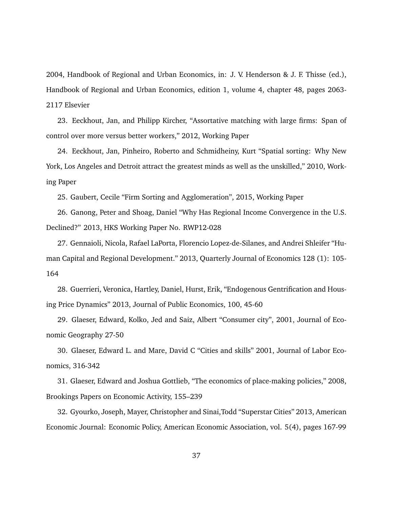2004, Handbook of Regional and Urban Economics, in: J. V. Henderson & J. F. Thisse (ed.), Handbook of Regional and Urban Economics, edition 1, volume 4, chapter 48, pages 2063- 2117 Elsevier

23. Eeckhout, Jan, and Philipp Kircher, "Assortative matching with large firms: Span of control over more versus better workers," 2012, Working Paper

24. Eeckhout, Jan, Pinheiro, Roberto and Schmidheiny, Kurt "Spatial sorting: Why New York, Los Angeles and Detroit attract the greatest minds as well as the unskilled," 2010, Working Paper

25. Gaubert, Cecile "Firm Sorting and Agglomeration", 2015, Working Paper

26. Ganong, Peter and Shoag, Daniel "Why Has Regional Income Convergence in the U.S. Declined?" 2013, HKS Working Paper No. RWP12-028

27. Gennaioli, Nicola, Rafael LaPorta, Florencio Lopez-de-Silanes, and Andrei Shleifer "Human Capital and Regional Development." 2013, Quarterly Journal of Economics 128 (1): 105- 164

28. Guerrieri, Veronica, Hartley, Daniel, Hurst, Erik, "Endogenous Gentrification and Housing Price Dynamics" 2013, Journal of Public Economics, 100, 45-60

29. Glaeser, Edward, Kolko, Jed and Saiz, Albert "Consumer city", 2001, Journal of Economic Geography 27-50

30. Glaeser, Edward L. and Mare, David C "Cities and skills" 2001, Journal of Labor Economics, 316-342

31. Glaeser, Edward and Joshua Gottlieb, "The economics of place-making policies," 2008, Brookings Papers on Economic Activity, 155–239

32. Gyourko, Joseph, Mayer, Christopher and Sinai,Todd "Superstar Cities" 2013, American Economic Journal: Economic Policy, American Economic Association, vol. 5(4), pages 167-99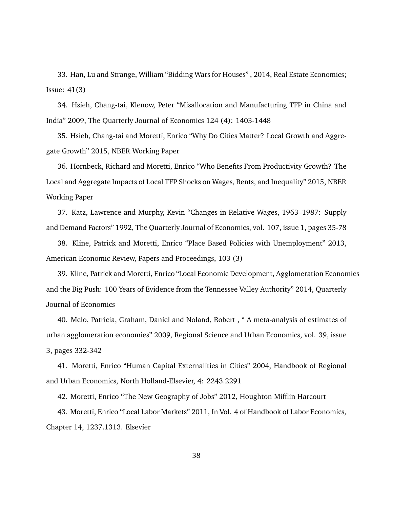33. Han, Lu and Strange, William "Bidding Wars for Houses" , 2014, Real Estate Economics; Issue: 41(3)

34. Hsieh, Chang-tai, Klenow, Peter "Misallocation and Manufacturing TFP in China and India" 2009, The Quarterly Journal of Economics 124 (4): 1403-1448

35. Hsieh, Chang-tai and Moretti, Enrico "Why Do Cities Matter? Local Growth and Aggregate Growth" 2015, NBER Working Paper

36. Hornbeck, Richard and Moretti, Enrico "Who Benefits From Productivity Growth? The Local and Aggregate Impacts of Local TFP Shocks on Wages, Rents, and Inequality" 2015, NBER Working Paper

37. Katz, Lawrence and Murphy, Kevin "Changes in Relative Wages, 1963–1987: Supply and Demand Factors" 1992, The Quarterly Journal of Economics, vol. 107, issue 1, pages 35-78

38. Kline, Patrick and Moretti, Enrico "Place Based Policies with Unemployment" 2013, American Economic Review, Papers and Proceedings, 103 (3)

39. Kline, Patrick and Moretti, Enrico "Local Economic Development, Agglomeration Economies and the Big Push: 100 Years of Evidence from the Tennessee Valley Authority" 2014, Quarterly Journal of Economics

40. Melo, Patricia, Graham, Daniel and Noland, Robert , " A meta-analysis of estimates of urban agglomeration economies" 2009, Regional Science and Urban Economics, vol. 39, issue 3, pages 332-342

41. Moretti, Enrico "Human Capital Externalities in Cities" 2004, Handbook of Regional and Urban Economics, North Holland-Elsevier, 4: 2243.2291

42. Moretti, Enrico "The New Geography of Jobs" 2012, Houghton Mifflin Harcourt

43. Moretti, Enrico "Local Labor Markets" 2011, In Vol. 4 of Handbook of Labor Economics, Chapter 14, 1237.1313. Elsevier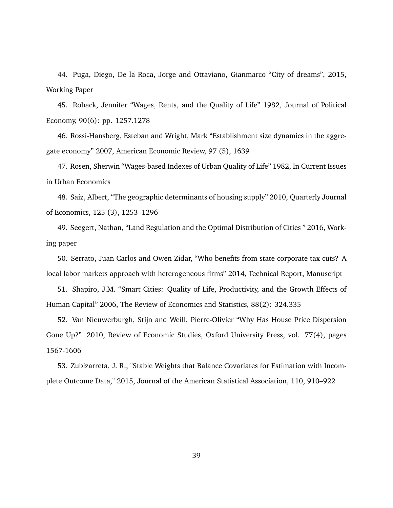44. Puga, Diego, De la Roca, Jorge and Ottaviano, Gianmarco "City of dreams", 2015, Working Paper

45. Roback, Jennifer "Wages, Rents, and the Quality of Life" 1982, Journal of Political Economy, 90(6): pp. 1257.1278

46. Rossi-Hansberg, Esteban and Wright, Mark "Establishment size dynamics in the aggregate economy" 2007, American Economic Review, 97 (5), 1639

47. Rosen, Sherwin "Wages-based Indexes of Urban Quality of Life" 1982, In Current Issues in Urban Economics

48. Saiz, Albert, "The geographic determinants of housing supply" 2010, Quarterly Journal of Economics, 125 (3), 1253–1296

49. Seegert, Nathan, "Land Regulation and the Optimal Distribution of Cities " 2016, Working paper

50. Serrato, Juan Carlos and Owen Zidar, "Who benefits from state corporate tax cuts? A local labor markets approach with heterogeneous firms" 2014, Technical Report, Manuscript

51. Shapiro, J.M. "Smart Cities: Quality of Life, Productivity, and the Growth Effects of Human Capital" 2006, The Review of Economics and Statistics, 88(2): 324.335

52. Van Nieuwerburgh, Stijn and Weill, Pierre-Olivier "Why Has House Price Dispersion Gone Up?" 2010, Review of Economic Studies, Oxford University Press, vol. 77(4), pages 1567-1606

53. Zubizarreta, J. R., "Stable Weights that Balance Covariates for Estimation with Incomplete Outcome Data," 2015, Journal of the American Statistical Association, 110, 910–922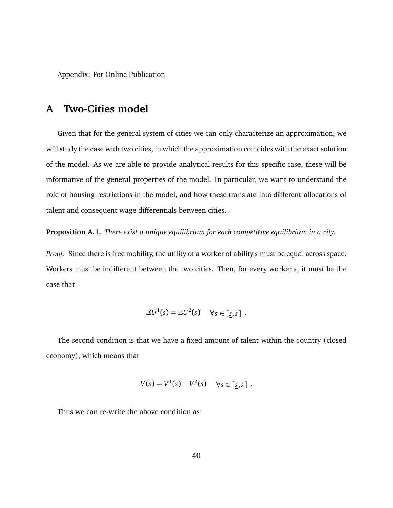Appendix: For Online Publication

# <span id="page-40-0"></span>**A Two-Cities model**

Given that for the general system of cities we can only characterize an approximation, we will study the case with two cities, in which the approximation coincides with the exact solution of the model. As we are able to provide analytical results for this specific case, these will be informative of the general properties of the model. In particular, we want to understand the role of housing restrictions in the model, and how these translate into different allocations of talent and consequent wage differentials between cities.

**Proposition A.1.** *There exist a unique equilibrium for each competitive equilibrium in a city.*

*Proof.* Since there is free mobility, the utility of a worker of ability *s* must be equal across space. Workers must be indifferent between the two cities. Then, for every worker *s*, it must be the case that

$$
\mathbb{E}U^1(s) = \mathbb{E}U^2(s) \quad \forall s \in [\underline{s}, \overline{s}] .
$$

The second condition is that we have a fixed amount of talent within the country (closed economy), which means that

$$
V(s) = V^1(s) + V^2(s) \quad \forall s \in [\underline{s}, \overline{s}] \; .
$$

Thus we can re-write the above condition as: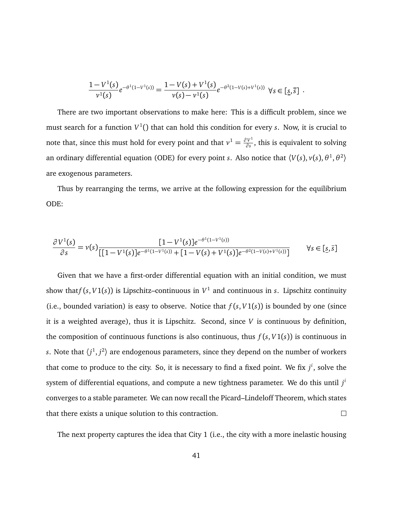$$
\frac{1-V^1(s)}{\nu^1(s)}e^{-\theta^1(1-V^1(s))}=\frac{1-V(s)+V^1(s)}{\nu(s)-\nu^1(s)}e^{-\theta^2(1-V(s)+V^1(s))}\ \ \forall s\in[\underline{s},\overline{s}]\ .
$$

There are two important observations to make here: This is a difficult problem, since we must search for a function *V* 1 () that can hold this condition for every *s*. Now, it is crucial to note that, since this must hold for every point and that  $v^1 = \frac{\partial V^1}{\partial s}$  $\frac{V}{\partial s}$ , this is equivalent to solving an ordinary differential equation (ODE) for every point *s*. Also notice that  $\langle V(s), v(s), \theta^1, \theta^2 \rangle$ are exogenous parameters.

Thus by rearranging the terms, we arrive at the following expression for the equilibrium ODE:

$$
\frac{\partial V^1(s)}{\partial s} = v(s) \frac{[1 - V^1(s)]e^{-\theta^1(1 - V^1(s))}}{[[1 - V^1(s)]e^{-\theta^1(1 - V^1(s))} + [1 - V(s) + V^1(s)]e^{-\theta^2(1 - V(s) + V^1(s))}]}
$$
  $\forall s \in [\underline{s}, \overline{s}]$ 

Given that we have a first-order differential equation with an initial condition, we must show that $f(s, V1(s))$  is Lipschitz–continuous in  $V^1$  and continuous in *s*. Lipschitz continuity (i.e., bounded variation) is easy to observe. Notice that  $f(s, V1(s))$  is bounded by one (since it is a weighted average), thus it is Lipschitz. Second, since *V* is continuous by definition, the composition of continuous functions is also continuous, thus  $f(s, V1(s))$  is continuous in *s*. Note that  $\langle j^1, j^2 \rangle$  are endogenous parameters, since they depend on the number of workers that come to produce to the city. So, it is necessary to find a fixed point. We fix *j i* , solve the system of differential equations, and compute a new tightness parameter. We do this until *j i* converges to a stable parameter. We can now recall the Picard–Lindeloff Theorem, which states that there exists a unique solution to this contraction.  $\Box$ 

The next property captures the idea that City 1 (i.e., the city with a more inelastic housing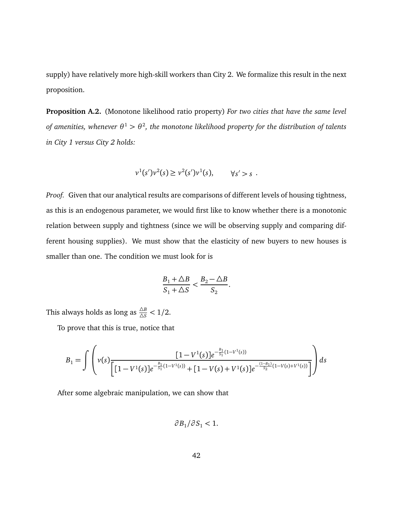supply) have relatively more high-skill workers than City 2. We formalize this result in the next proposition.

**Proposition A.2.** (Monotone likelihood ratio property) *For two cities that have the same level* of amenities, whenever  $\theta^1 > \theta^2$ , the monotone likelihood property for the distribution of talents *in City 1 versus City 2 holds:*

$$
v^1(s')v^2(s) \ge v^2(s')v^1(s), \qquad \forall s' > s.
$$

*Proof.* Given that our analytical results are comparisons of different levels of housing tightness, as this is an endogenous parameter, we would first like to know whether there is a monotonic relation between supply and tightness (since we will be observing supply and comparing different housing supplies). We must show that the elasticity of new buyers to new houses is smaller than one. The condition we must look for is

$$
\frac{B_1+\triangle B}{S_1+\triangle S}<\frac{B_2-\triangle B}{S_2}.
$$

This always holds as long as  $\frac{\Delta B}{\Delta S} < 1/2$ .

To prove that this is true, notice that

$$
B_1 = \int \left( v(s) \frac{[1 - V^1(s)]e^{-\frac{B_1}{S_1}(1 - V^1(s))}}{[1 - V^1(s)]e^{-\frac{B_1}{S_1}(1 - V^1(s))} + [1 - V(s) + V^1(s)]e^{-\frac{(1 - B_1)}{S_2}(1 - V(s) + V^1(s))}}\right) ds
$$

After some algebraic manipulation, we can show that

$$
\partial B_1/\partial S_1 < 1.
$$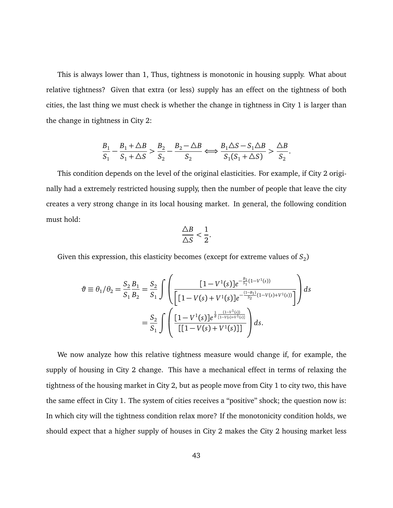This is always lower than 1, Thus, tightness is monotonic in housing supply. What about relative tightness? Given that extra (or less) supply has an effect on the tightness of both cities, the last thing we must check is whether the change in tightness in City 1 is larger than the change in tightness in City 2:

$$
\frac{B_1}{S_1} - \frac{B_1 + \Delta B}{S_1 + \Delta S} > \frac{B_2}{S_2} - \frac{B_2 - \Delta B}{S_2} \Longleftrightarrow \frac{B_1 \Delta S - S_1 \Delta B}{S_1 (S_1 + \Delta S)} > \frac{\Delta B}{S_2}.
$$

This condition depends on the level of the original elasticities. For example, if City 2 originally had a extremely restricted housing supply, then the number of people that leave the city creates a very strong change in its local housing market. In general, the following condition must hold:

$$
\frac{\triangle B}{\triangle S}<\frac{1}{2}.
$$

Given this expression, this elasticity becomes (except for extreme values of  $S_2$ )

$$
\vartheta \equiv \theta_1/\theta_2 = \frac{S_2}{S_1} \frac{B_1}{B_2} = \frac{S_2}{S_1} \int \left( \frac{[1 - V^1(s)]e^{-\frac{B_1}{S_1}(1 - V^1(s))}}{[1 - V(s) + V^1(s)]e^{-\frac{(1 - B_1)}{S_2}(1 - V(s) + V^1(s))}} \right) ds
$$

$$
= \frac{S_2}{S_1} \int \left( \frac{[1 - V^1(s)]e^{\frac{1}{\vartheta} \frac{(1 - V^1(s))}{[1 - V(s) + V^1(s)]}}}{[[1 - V(s) + V^1(s)]]} \right) ds.
$$

We now analyze how this relative tightness measure would change if, for example, the supply of housing in City 2 change. This have a mechanical effect in terms of relaxing the tightness of the housing market in City 2, but as people move from City 1 to city two, this have the same effect in City 1. The system of cities receives a "positive" shock; the question now is: In which city will the tightness condition relax more? If the monotonicity condition holds, we should expect that a higher supply of houses in City 2 makes the City 2 housing market less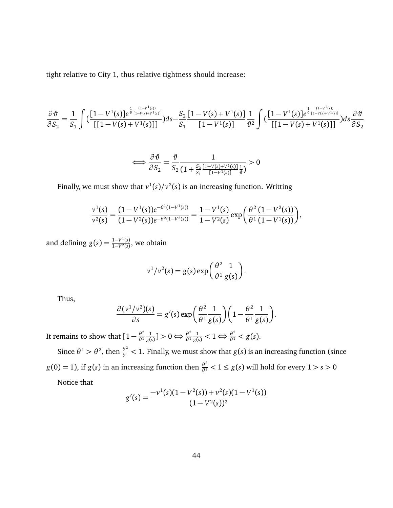tight relative to City 1, thus relative tightness should increase:

$$
\frac{\partial \vartheta}{\partial S_2} = \frac{1}{S_1} \int \left( \frac{[1 - V^1(s)] e^{\frac{1}{\vartheta} \frac{(1 - V^1(s))}{[1 - V(s) + V^1(s)]}}}{\left[ [1 - V(s) + V^1(s)] \right]} \right) ds - \frac{S_2}{S_1} \frac{[1 - V(s) + V^1(s)]}{[1 - V^1(s)]} \frac{1}{\vartheta^2} \int \left( \frac{[1 - V^1(s)] e^{\frac{1}{\vartheta} \frac{(1 - V^1(s))}{[1 - V(s) + V^1(s)]}}}{\left[ [1 - V(s) + V^1(s)] \right]} \right) ds \frac{\partial \vartheta}{\partial S_2}
$$

$$
\Longleftrightarrow \frac{\partial \vartheta}{\partial S_2} = \frac{\vartheta}{S_2} \frac{1}{\left(1 + \frac{S_2}{S_1} \frac{[1 - V(s) + V^1(s)]}{[1 - V^1(s)]} \frac{1}{\vartheta}\right)} > 0
$$

Finally, we must show that  $v^1(s)/v^2(s)$  is an increasing function. Writting

$$
\frac{v^1(s)}{v^2(s)} = \frac{(1 - V^1(s))e^{-\theta^1(1 - V^1(s))}}{(1 - V^2(s))e^{-\theta^2(1 - V^2(s))}} = \frac{1 - V^1(s)}{1 - V^2(s)} \exp\left(\frac{\theta^2}{\theta^1} \frac{(1 - V^2(s))}{(1 - V^1(s))}\right),
$$

and defining  $g(s) = \frac{1 - V^1(s)}{1 - V^2(s)}$ , we obtain

$$
v^1/v^2(s) = g(s) \exp\left(\frac{\theta^2}{\theta^1} \frac{1}{g(s)}\right).
$$

Thus,

$$
\frac{\partial (v^1/v^2)(s)}{\partial s} = g'(s) \exp\left(\frac{\theta^2}{\theta^1} \frac{1}{g(s)}\right) \left(1 - \frac{\theta^2}{\theta^1} \frac{1}{g(s)}\right).
$$

It remains to show that  $[1 - \frac{\theta^2}{\theta^1}]$ *θ*<sup>1</sup> 1  $\frac{1}{g(s)}$ ] > 0  $\Leftrightarrow \frac{\theta^2}{\theta^1}$ *θ*<sup>1</sup>  $\frac{1}{g(s)} < 1 \Longleftrightarrow \frac{\theta^2}{\theta^1} < g(s).$ 

Since  $\theta^1 > \theta^2$ , then  $\frac{\theta^2}{\theta^1} < 1$ . Finally, we must show that  $g(s)$  is an increasing function (since  $g(0) = 1$ ), if  $g(s)$  in an increasing function then  $\frac{\theta^2}{\theta^1} < 1 \le g(s)$  will hold for every  $1 > s > 0$ 

Notice that

$$
g'(s) = \frac{-v^1(s)(1 - V^2(s)) + v^2(s)(1 - V^1(s))}{(1 - V^2(s))^2}
$$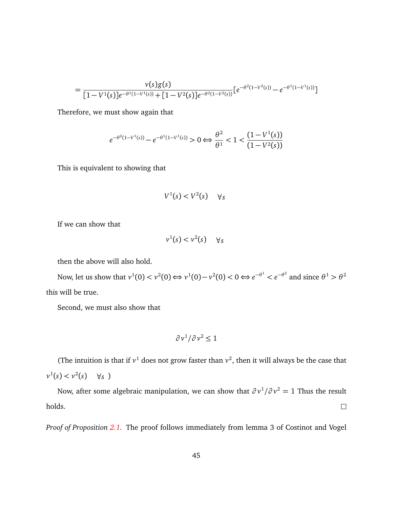$$
= \frac{v(s)g(s)}{[1-V^1(s)]e^{-\theta^1(1-V^1(s))}+[1-V^2(s)]e^{-\theta^2(1-V^2(s))}}[e^{-\theta^2(1-V^2(s))}-e^{-\theta^1(1-V^1(s))}]
$$

Therefore, we must show again that

$$
e^{-\theta^2(1-V^1(s))} - e^{-\theta^1(1-V^1(s))} > 0 \Leftrightarrow \frac{\theta^2}{\theta^1} < 1 < \frac{(1-V^1(s))}{(1-V^2(s))}
$$

This is equivalent to showing that

$$
V^1(s) < V^2(s) \quad \forall s
$$

If we can show that

$$
v^1(s) < v^2(s) \quad \forall s
$$

then the above will also hold.

Now, let us show that  $v^1(0) < v^2(0) \Leftrightarrow v^1(0) - v^2(0) < 0 \Leftrightarrow e^{-\theta^1} < e^{-\theta^2}$  and since  $\theta^1 > \theta^2$ this will be true.

Second, we must also show that

$$
\partial v^1/\partial v^2 \le 1
$$

(The intuition is that if  $v^1$  does not grow faster than  $v^2$ , then it will always be the case that  $v^1(s) < v^2(s) \quad \forall s$ )

Now, after some algebraic manipulation, we can show that *∂ v* 1 */∂ v* <sup>2</sup> = 1 Thus the result holds.  $\Box$ 

*Proof of Proposition [2.1.](#page-16-0)* The proof follows immediately from lemma 3 of Costinot and Vogel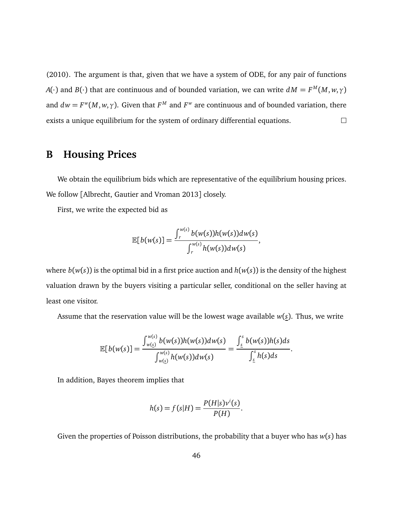(2010). The argument is that, given that we have a system of ODE, for any pair of functions *A*( $\cdot$ ) and *B*( $\cdot$ ) that are continuous and of bounded variation, we can write  $dM = F^M(M, w, \gamma)$ and  $dw = F^w(M, w, \gamma)$ . Given that  $F^M$  and  $F^w$  are continuous and of bounded variation, there exists a unique equilibrium for the system of ordinary differential equations.  $\Box$ 

# **B Housing Prices**

We obtain the equilibrium bids which are representative of the equilibrium housing prices. We follow [Albrecht, Gautier and Vroman 2013] closely.

First, we write the expected bid as

$$
\mathbb{E}[b(w(s)] = \frac{\int_r^{w(s)} b(w(s))h(w(s))dw(s)}{\int_r^{w(s)} h(w(s))dw(s)},
$$

where  $b(w(s))$  is the optimal bid in a first price auction and  $h(w(s))$  is the density of the highest valuation drawn by the buyers visiting a particular seller, conditional on the seller having at least one visitor.

Assume that the reservation value will be the lowest wage available *w*(*s*). Thus, we write

$$
\mathbb{E}[b(w(s)]=\frac{\int_{w(s)}^{w(s)}b(w(s))h(w(s))dw(s)}{\int_{w(s)}^{w(s)}h(w(s))dw(s)}=\frac{\int_{s}^{s}b(w(s))h(s)ds}{\int_{s}^{s}h(s)ds}.
$$

In addition, Bayes theorem implies that

$$
h(s) = f(s|H) = \frac{P(H|s)v^{i}(s)}{P(H)}.
$$

Given the properties of Poisson distributions, the probability that a buyer who has *w*(*s*) has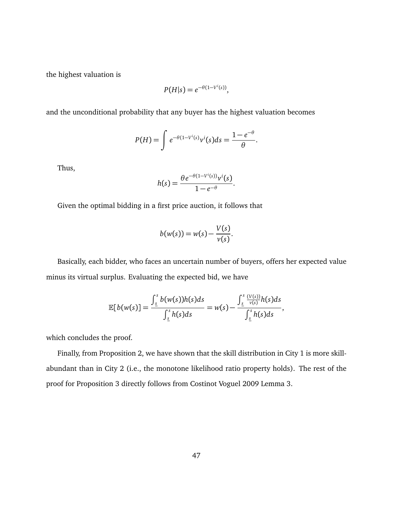the highest valuation is

$$
P(H|s) = e^{-\theta(1-V^i(s))},
$$

and the unconditional probability that any buyer has the highest valuation becomes

$$
P(H) = \int e^{-\theta(1-V^{i}(s)}v^{i}(s)ds = \frac{1-e^{-\theta}}{\theta}.
$$

Thus,

$$
h(s) = \frac{\theta e^{-\theta(1-V^i(s))}v^i(s)}{1-e^{-\theta}}.
$$

Given the optimal bidding in a first price auction, it follows that

$$
b(w(s))=w(s)-\frac{V(s)}{v(s)}.
$$

Basically, each bidder, who faces an uncertain number of buyers, offers her expected value minus its virtual surplus. Evaluating the expected bid, we have

$$
\mathbb{E}[b(w(s)]=\frac{\int_{\underline{s}}^{s}b(w(s))h(s)ds}{\int_{\underline{s}}^{s}h(s)ds}=w(s)-\frac{\int_{\underline{s}}^{s}\frac{(V(s))}{v(s)}h(s)ds}{\int_{\underline{s}}^{s}h(s)ds},
$$

which concludes the proof.

Finally, from Proposition 2, we have shown that the skill distribution in City 1 is more skillabundant than in City 2 (i.e., the monotone likelihood ratio property holds). The rest of the proof for Proposition 3 directly follows from Costinot Voguel 2009 Lemma 3.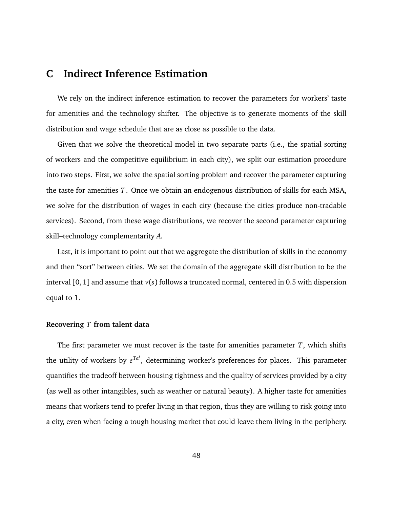# <span id="page-48-0"></span>**C Indirect Inference Estimation**

We rely on the indirect inference estimation to recover the parameters for workers' taste for amenities and the technology shifter. The objective is to generate moments of the skill distribution and wage schedule that are as close as possible to the data.

Given that we solve the theoretical model in two separate parts (i.e., the spatial sorting of workers and the competitive equilibrium in each city), we split our estimation procedure into two steps. First, we solve the spatial sorting problem and recover the parameter capturing the taste for amenities *T*. Once we obtain an endogenous distribution of skills for each MSA, we solve for the distribution of wages in each city (because the cities produce non-tradable services). Second, from these wage distributions, we recover the second parameter capturing skill–technology complementarity *A*.

Last, it is important to point out that we aggregate the distribution of skills in the economy and then "sort" between cities. We set the domain of the aggregate skill distribution to be the interval [0, 1] and assume that *v*(*s*) follows a truncated normal, centered in 0.5 with dispersion equal to 1.

#### **Recovering** *T* **from talent data**

The first parameter we must recover is the taste for amenities parameter *T*, which shifts the utility of workers by  $e^{Ta^i}$ , determining worker's preferences for places. This parameter quantifies the tradeoff between housing tightness and the quality of services provided by a city (as well as other intangibles, such as weather or natural beauty). A higher taste for amenities means that workers tend to prefer living in that region, thus they are willing to risk going into a city, even when facing a tough housing market that could leave them living in the periphery.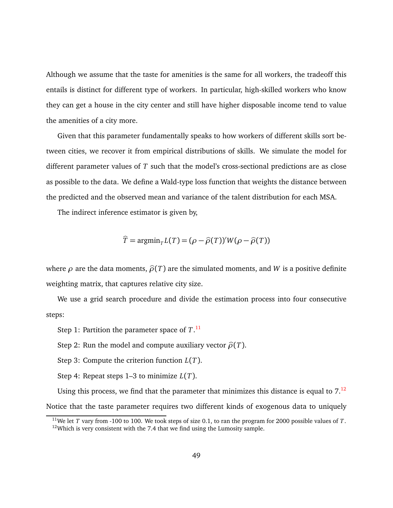Although we assume that the taste for amenities is the same for all workers, the tradeoff this entails is distinct for different type of workers. In particular, high-skilled workers who know they can get a house in the city center and still have higher disposable income tend to value the amenities of a city more.

Given that this parameter fundamentally speaks to how workers of different skills sort between cities, we recover it from empirical distributions of skills. We simulate the model for different parameter values of *T* such that the model's cross-sectional predictions are as close as possible to the data. We define a Wald-type loss function that weights the distance between the predicted and the observed mean and variance of the talent distribution for each MSA.

The indirect inference estimator is given by,

$$
\widehat{T} = \operatorname{argmin}_{T} L(T) = (\rho - \widehat{\rho}(T))' W(\rho - \widehat{\rho}(T))
$$

where  $\rho$  are the data moments,  $\hat{\rho}(T)$  are the simulated moments, and *W* is a positive definite weighting matrix, that captures relative city size.

We use a grid search procedure and divide the estimation process into four consecutive steps:

Step 1: Partition the parameter space of *T*. [11](#page-49-0)

Step 2: Run the model and compute auxiliary vector  $\hat{\rho}(T)$ .

Step 3: Compute the criterion function *L*(*T*).

Step 4: Repeat steps 1–3 to minimize *L*(*T*).

Using this process, we find that the parameter that minimizes this distance is equal to  $7<sup>12</sup>$  $7<sup>12</sup>$  $7<sup>12</sup>$ 

Notice that the taste parameter requires two different kinds of exogenous data to uniquely

<span id="page-49-1"></span><span id="page-49-0"></span><sup>11</sup>We let *T* vary from -100 to 100. We took steps of size 0.1, to ran the program for 2000 possible values of *T*.  $12$ Which is very consistent with the 7.4 that we find using the Lumosity sample.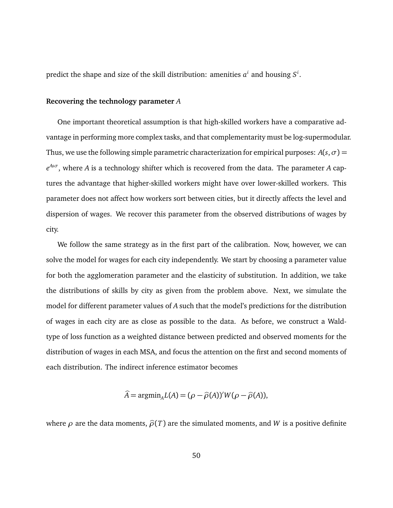predict the shape and size of the skill distribution: amenities  $a^i$  and housing  $S^i$ .

#### **Recovering the technology parameter** *A*

One important theoretical assumption is that high-skilled workers have a comparative advantage in performing more complex tasks, and that complementarity must be log-supermodular. Thus, we use the following simple parametric characterization for empirical purposes:  $A(s, \sigma)$  = *e Asσ* , where *A* is a technology shifter which is recovered from the data. The parameter *A* captures the advantage that higher-skilled workers might have over lower-skilled workers. This parameter does not affect how workers sort between cities, but it directly affects the level and dispersion of wages. We recover this parameter from the observed distributions of wages by city.

We follow the same strategy as in the first part of the calibration. Now, however, we can solve the model for wages for each city independently. We start by choosing a parameter value for both the agglomeration parameter and the elasticity of substitution. In addition, we take the distributions of skills by city as given from the problem above. Next, we simulate the model for different parameter values of *A* such that the model's predictions for the distribution of wages in each city are as close as possible to the data. As before, we construct a Waldtype of loss function as a weighted distance between predicted and observed moments for the distribution of wages in each MSA, and focus the attention on the first and second moments of each distribution. The indirect inference estimator becomes

$$
\widehat{A} = \mathrm{argmin}_{A} L(A) = (\rho - \widehat{\rho}(A))' W(\rho - \widehat{\rho}(A)),
$$

 $\lambda$ 

where  $\rho$  are the data moments,  $\hat{\rho}(T)$  are the simulated moments, and *W* is a positive definite